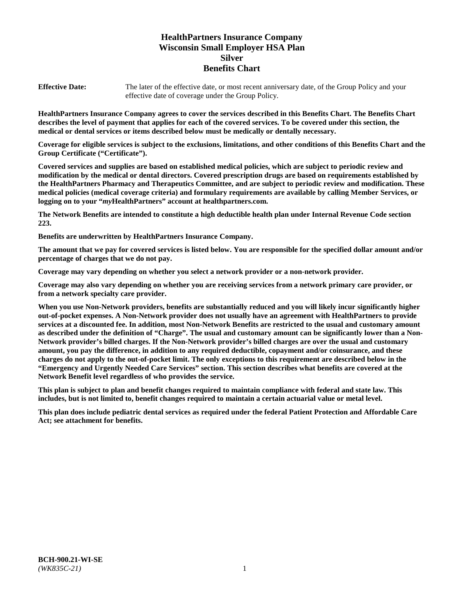# **HealthPartners Insurance Company Wisconsin Small Employer HSA Plan Silver Benefits Chart**

**Effective Date:** The later of the effective date, or most recent anniversary date, of the Group Policy and your effective date of coverage under the Group Policy.

**HealthPartners Insurance Company agrees to cover the services described in this Benefits Chart. The Benefits Chart describes the level of payment that applies for each of the covered services. To be covered under this section, the medical or dental services or items described below must be medically or dentally necessary.**

**Coverage for eligible services is subject to the exclusions, limitations, and other conditions of this Benefits Chart and the Group Certificate ("Certificate").**

**Covered services and supplies are based on established medical policies, which are subject to periodic review and modification by the medical or dental directors. Covered prescription drugs are based on requirements established by the HealthPartners Pharmacy and Therapeutics Committee, and are subject to periodic review and modification. These medical policies (medical coverage criteria) and formulary requirements are available by calling Member Services, or logging on to your "***my***HealthPartners" account at [healthpartners.com.](https://www.healthpartners.com/hp/index.html)**

**The Network Benefits are intended to constitute a high deductible health plan under Internal Revenue Code section 223.**

**Benefits are underwritten by HealthPartners Insurance Company.**

**The amount that we pay for covered services is listed below. You are responsible for the specified dollar amount and/or percentage of charges that we do not pay.**

**Coverage may vary depending on whether you select a network provider or a non-network provider.**

**Coverage may also vary depending on whether you are receiving services from a network primary care provider, or from a network specialty care provider.**

**When you use Non-Network providers, benefits are substantially reduced and you will likely incur significantly higher out-of-pocket expenses. A Non-Network provider does not usually have an agreement with HealthPartners to provide services at a discounted fee. In addition, most Non-Network Benefits are restricted to the usual and customary amount as described under the definition of "Charge". The usual and customary amount can be significantly lower than a Non-Network provider's billed charges. If the Non-Network provider's billed charges are over the usual and customary amount, you pay the difference, in addition to any required deductible, copayment and/or coinsurance, and these charges do not apply to the out-of-pocket limit. The only exceptions to this requirement are described below in the "Emergency and Urgently Needed Care Services" section. This section describes what benefits are covered at the Network Benefit level regardless of who provides the service.**

**This plan is subject to plan and benefit changes required to maintain compliance with federal and state law. This includes, but is not limited to, benefit changes required to maintain a certain actuarial value or metal level.**

**This plan does include pediatric dental services as required under the federal Patient Protection and Affordable Care Act; see attachment for benefits.**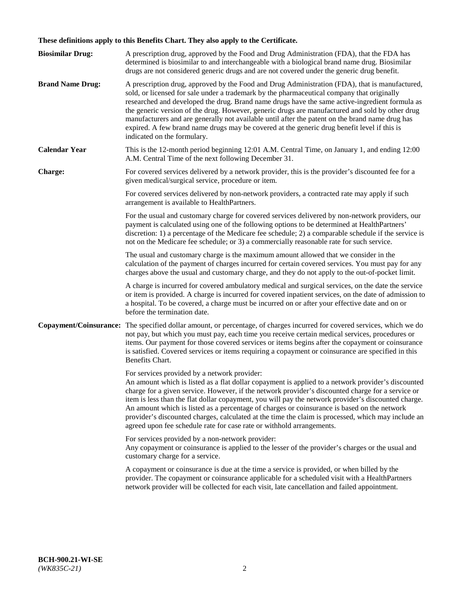# **These definitions apply to this Benefits Chart. They also apply to the Certificate.**

| <b>Biosimilar Drug:</b> | A prescription drug, approved by the Food and Drug Administration (FDA), that the FDA has<br>determined is biosimilar to and interchangeable with a biological brand name drug. Biosimilar<br>drugs are not considered generic drugs and are not covered under the generic drug benefit.                                                                                                                                                                                                                                                                                                                                                     |
|-------------------------|----------------------------------------------------------------------------------------------------------------------------------------------------------------------------------------------------------------------------------------------------------------------------------------------------------------------------------------------------------------------------------------------------------------------------------------------------------------------------------------------------------------------------------------------------------------------------------------------------------------------------------------------|
| <b>Brand Name Drug:</b> | A prescription drug, approved by the Food and Drug Administration (FDA), that is manufactured,<br>sold, or licensed for sale under a trademark by the pharmaceutical company that originally<br>researched and developed the drug. Brand name drugs have the same active-ingredient formula as<br>the generic version of the drug. However, generic drugs are manufactured and sold by other drug<br>manufacturers and are generally not available until after the patent on the brand name drug has<br>expired. A few brand name drugs may be covered at the generic drug benefit level if this is<br>indicated on the formulary.           |
| <b>Calendar Year</b>    | This is the 12-month period beginning 12:01 A.M. Central Time, on January 1, and ending 12:00<br>A.M. Central Time of the next following December 31.                                                                                                                                                                                                                                                                                                                                                                                                                                                                                        |
| <b>Charge:</b>          | For covered services delivered by a network provider, this is the provider's discounted fee for a<br>given medical/surgical service, procedure or item.                                                                                                                                                                                                                                                                                                                                                                                                                                                                                      |
|                         | For covered services delivered by non-network providers, a contracted rate may apply if such<br>arrangement is available to HealthPartners.                                                                                                                                                                                                                                                                                                                                                                                                                                                                                                  |
|                         | For the usual and customary charge for covered services delivered by non-network providers, our<br>payment is calculated using one of the following options to be determined at HealthPartners'<br>discretion: 1) a percentage of the Medicare fee schedule; 2) a comparable schedule if the service is<br>not on the Medicare fee schedule; or 3) a commercially reasonable rate for such service.                                                                                                                                                                                                                                          |
|                         | The usual and customary charge is the maximum amount allowed that we consider in the<br>calculation of the payment of charges incurred for certain covered services. You must pay for any<br>charges above the usual and customary charge, and they do not apply to the out-of-pocket limit.                                                                                                                                                                                                                                                                                                                                                 |
|                         | A charge is incurred for covered ambulatory medical and surgical services, on the date the service<br>or item is provided. A charge is incurred for covered inpatient services, on the date of admission to<br>a hospital. To be covered, a charge must be incurred on or after your effective date and on or<br>before the termination date.                                                                                                                                                                                                                                                                                                |
| Copayment/Coinsurance:  | The specified dollar amount, or percentage, of charges incurred for covered services, which we do<br>not pay, but which you must pay, each time you receive certain medical services, procedures or<br>items. Our payment for those covered services or items begins after the copayment or coinsurance<br>is satisfied. Covered services or items requiring a copayment or coinsurance are specified in this<br>Benefits Chart.                                                                                                                                                                                                             |
|                         | For services provided by a network provider:<br>An amount which is listed as a flat dollar copayment is applied to a network provider's discounted<br>charge for a given service. However, if the network provider's discounted charge for a service or<br>item is less than the flat dollar copayment, you will pay the network provider's discounted charge.<br>An amount which is listed as a percentage of charges or coinsurance is based on the network<br>provider's discounted charges, calculated at the time the claim is processed, which may include an<br>agreed upon fee schedule rate for case rate or withhold arrangements. |
|                         | For services provided by a non-network provider:<br>Any copayment or coinsurance is applied to the lesser of the provider's charges or the usual and<br>customary charge for a service.                                                                                                                                                                                                                                                                                                                                                                                                                                                      |
|                         | A copayment or coinsurance is due at the time a service is provided, or when billed by the<br>provider. The copayment or coinsurance applicable for a scheduled visit with a HealthPartners<br>network provider will be collected for each visit, late cancellation and failed appointment.                                                                                                                                                                                                                                                                                                                                                  |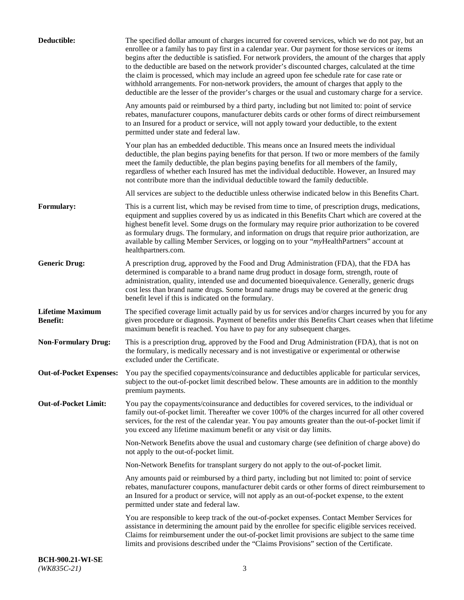| Deductible:                                | The specified dollar amount of charges incurred for covered services, which we do not pay, but an<br>enrollee or a family has to pay first in a calendar year. Our payment for those services or items<br>begins after the deductible is satisfied. For network providers, the amount of the charges that apply<br>to the deductible are based on the network provider's discounted charges, calculated at the time<br>the claim is processed, which may include an agreed upon fee schedule rate for case rate or<br>withhold arrangements. For non-network providers, the amount of charges that apply to the<br>deductible are the lesser of the provider's charges or the usual and customary charge for a service. |
|--------------------------------------------|-------------------------------------------------------------------------------------------------------------------------------------------------------------------------------------------------------------------------------------------------------------------------------------------------------------------------------------------------------------------------------------------------------------------------------------------------------------------------------------------------------------------------------------------------------------------------------------------------------------------------------------------------------------------------------------------------------------------------|
|                                            | Any amounts paid or reimbursed by a third party, including but not limited to: point of service<br>rebates, manufacturer coupons, manufacturer debits cards or other forms of direct reimbursement<br>to an Insured for a product or service, will not apply toward your deductible, to the extent<br>permitted under state and federal law.                                                                                                                                                                                                                                                                                                                                                                            |
|                                            | Your plan has an embedded deductible. This means once an Insured meets the individual<br>deductible, the plan begins paying benefits for that person. If two or more members of the family<br>meet the family deductible, the plan begins paying benefits for all members of the family,<br>regardless of whether each Insured has met the individual deductible. However, an Insured may<br>not contribute more than the individual deductible toward the family deductible.                                                                                                                                                                                                                                           |
|                                            | All services are subject to the deductible unless otherwise indicated below in this Benefits Chart.                                                                                                                                                                                                                                                                                                                                                                                                                                                                                                                                                                                                                     |
| Formulary:                                 | This is a current list, which may be revised from time to time, of prescription drugs, medications,<br>equipment and supplies covered by us as indicated in this Benefits Chart which are covered at the<br>highest benefit level. Some drugs on the formulary may require prior authorization to be covered<br>as formulary drugs. The formulary, and information on drugs that require prior authorization, are<br>available by calling Member Services, or logging on to your "myHealthPartners" account at<br>healthpartners.com.                                                                                                                                                                                   |
| <b>Generic Drug:</b>                       | A prescription drug, approved by the Food and Drug Administration (FDA), that the FDA has<br>determined is comparable to a brand name drug product in dosage form, strength, route of<br>administration, quality, intended use and documented bioequivalence. Generally, generic drugs<br>cost less than brand name drugs. Some brand name drugs may be covered at the generic drug<br>benefit level if this is indicated on the formulary.                                                                                                                                                                                                                                                                             |
| <b>Lifetime Maximum</b><br><b>Benefit:</b> | The specified coverage limit actually paid by us for services and/or charges incurred by you for any<br>given procedure or diagnosis. Payment of benefits under this Benefits Chart ceases when that lifetime<br>maximum benefit is reached. You have to pay for any subsequent charges.                                                                                                                                                                                                                                                                                                                                                                                                                                |
| <b>Non-Formulary Drug:</b>                 | This is a prescription drug, approved by the Food and Drug Administration (FDA), that is not on<br>the formulary, is medically necessary and is not investigative or experimental or otherwise<br>excluded under the Certificate.                                                                                                                                                                                                                                                                                                                                                                                                                                                                                       |
|                                            | Out-of-Pocket Expenses: You pay the specified copayments/coinsurance and deductibles applicable for particular services,<br>subject to the out-of-pocket limit described below. These amounts are in addition to the monthly<br>premium payments.                                                                                                                                                                                                                                                                                                                                                                                                                                                                       |
| <b>Out-of-Pocket Limit:</b>                | You pay the copayments/coinsurance and deductibles for covered services, to the individual or<br>family out-of-pocket limit. Thereafter we cover 100% of the charges incurred for all other covered<br>services, for the rest of the calendar year. You pay amounts greater than the out-of-pocket limit if<br>you exceed any lifetime maximum benefit or any visit or day limits.                                                                                                                                                                                                                                                                                                                                      |
|                                            | Non-Network Benefits above the usual and customary charge (see definition of charge above) do<br>not apply to the out-of-pocket limit.                                                                                                                                                                                                                                                                                                                                                                                                                                                                                                                                                                                  |
|                                            | Non-Network Benefits for transplant surgery do not apply to the out-of-pocket limit.                                                                                                                                                                                                                                                                                                                                                                                                                                                                                                                                                                                                                                    |
|                                            | Any amounts paid or reimbursed by a third party, including but not limited to: point of service<br>rebates, manufacturer coupons, manufacturer debit cards or other forms of direct reimbursement to<br>an Insured for a product or service, will not apply as an out-of-pocket expense, to the extent<br>permitted under state and federal law.                                                                                                                                                                                                                                                                                                                                                                        |
|                                            | You are responsible to keep track of the out-of-pocket expenses. Contact Member Services for<br>assistance in determining the amount paid by the enrollee for specific eligible services received.<br>Claims for reimbursement under the out-of-pocket limit provisions are subject to the same time<br>limits and provisions described under the "Claims Provisions" section of the Certificate.                                                                                                                                                                                                                                                                                                                       |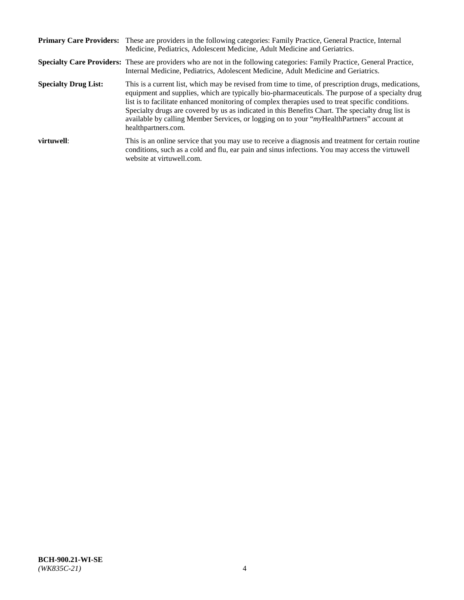|                             | Primary Care Providers: These are providers in the following categories: Family Practice, General Practice, Internal<br>Medicine, Pediatrics, Adolescent Medicine, Adult Medicine and Geriatrics.                                                                                                                                                                                                                                                                                                                                     |
|-----------------------------|---------------------------------------------------------------------------------------------------------------------------------------------------------------------------------------------------------------------------------------------------------------------------------------------------------------------------------------------------------------------------------------------------------------------------------------------------------------------------------------------------------------------------------------|
|                             | <b>Specialty Care Providers:</b> These are providers who are not in the following categories: Family Practice, General Practice,<br>Internal Medicine, Pediatrics, Adolescent Medicine, Adult Medicine and Geriatrics.                                                                                                                                                                                                                                                                                                                |
| <b>Specialty Drug List:</b> | This is a current list, which may be revised from time to time, of prescription drugs, medications,<br>equipment and supplies, which are typically bio-pharmaceuticals. The purpose of a specialty drug<br>list is to facilitate enhanced monitoring of complex therapies used to treat specific conditions.<br>Specialty drugs are covered by us as indicated in this Benefits Chart. The specialty drug list is<br>available by calling Member Services, or logging on to your "myHealthPartners" account at<br>healthpartners.com. |
| virtuwell:                  | This is an online service that you may use to receive a diagnosis and treatment for certain routine<br>conditions, such as a cold and flu, ear pain and sinus infections. You may access the virtuwell<br>website at virtuwell.com.                                                                                                                                                                                                                                                                                                   |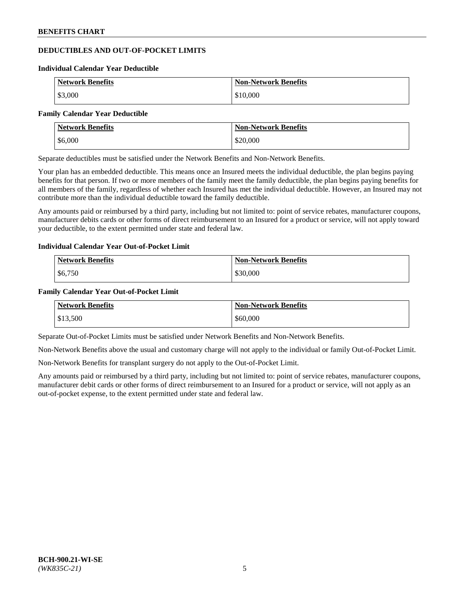## **DEDUCTIBLES AND OUT-OF-POCKET LIMITS**

#### **Individual Calendar Year Deductible**

| <b>Network Benefits</b> | <b>Non-Network Benefits</b> |
|-------------------------|-----------------------------|
| \$3,000                 | \$10,000                    |

#### **Family Calendar Year Deductible**

| Network Benefits | <b>Non-Network Benefits</b> |
|------------------|-----------------------------|
| \$6,000          | \$20,000                    |

Separate deductibles must be satisfied under the Network Benefits and Non-Network Benefits.

Your plan has an embedded deductible. This means once an Insured meets the individual deductible, the plan begins paying benefits for that person. If two or more members of the family meet the family deductible, the plan begins paying benefits for all members of the family, regardless of whether each Insured has met the individual deductible. However, an Insured may not contribute more than the individual deductible toward the family deductible.

Any amounts paid or reimbursed by a third party, including but not limited to: point of service rebates, manufacturer coupons, manufacturer debits cards or other forms of direct reimbursement to an Insured for a product or service, will not apply toward your deductible, to the extent permitted under state and federal law.

#### **Individual Calendar Year Out-of-Pocket Limit**

| <b>Network Benefits</b> | <b>Non-Network Benefits</b> |
|-------------------------|-----------------------------|
| \$6,750                 | \$30,000                    |

#### **Family Calendar Year Out-of-Pocket Limit**

| <b>Network Benefits</b> | <b>Non-Network Benefits</b> |
|-------------------------|-----------------------------|
| \$13,500                | \$60,000                    |

Separate Out-of-Pocket Limits must be satisfied under Network Benefits and Non-Network Benefits.

Non-Network Benefits above the usual and customary charge will not apply to the individual or family Out-of-Pocket Limit.

Non-Network Benefits for transplant surgery do not apply to the Out-of-Pocket Limit.

Any amounts paid or reimbursed by a third party, including but not limited to: point of service rebates, manufacturer coupons, manufacturer debit cards or other forms of direct reimbursement to an Insured for a product or service, will not apply as an out-of-pocket expense, to the extent permitted under state and federal law.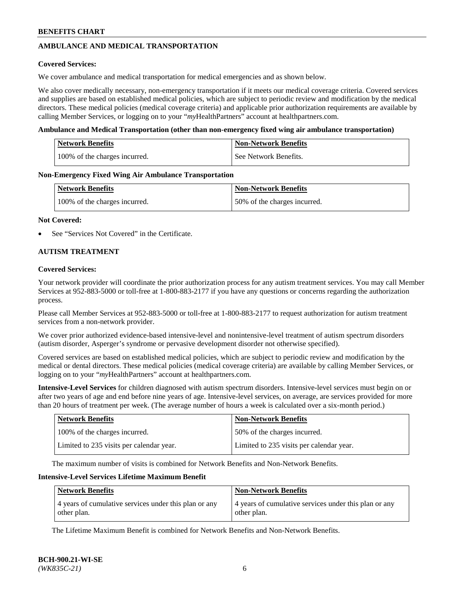## **AMBULANCE AND MEDICAL TRANSPORTATION**

#### **Covered Services:**

We cover ambulance and medical transportation for medical emergencies and as shown below.

We also cover medically necessary, non-emergency transportation if it meets our medical coverage criteria. Covered services and supplies are based on established medical policies, which are subject to periodic review and modification by the medical directors. These medical policies (medical coverage criteria) and applicable prior authorization requirements are available by calling Member Services, or logging on to your "*my*HealthPartners" account a[t healthpartners.com.](https://www.healthpartners.com/hp/index.html)

#### **Ambulance and Medical Transportation (other than non-emergency fixed wing air ambulance transportation)**

| <b>Network Benefits</b>       | <b>Non-Network Benefits</b> |
|-------------------------------|-----------------------------|
| 100% of the charges incurred. | See Network Benefits.       |

#### **Non-Emergency Fixed Wing Air Ambulance Transportation**

| <b>Network Benefits</b>       | <b>Non-Network Benefits</b>  |
|-------------------------------|------------------------------|
| 100% of the charges incurred. | 50% of the charges incurred. |

#### **Not Covered:**

See "Services Not Covered" in the Certificate.

## **AUTISM TREATMENT**

#### **Covered Services:**

Your network provider will coordinate the prior authorization process for any autism treatment services. You may call Member Services at 952-883-5000 or toll-free at 1-800-883-2177 if you have any questions or concerns regarding the authorization process.

Please call Member Services at 952-883-5000 or toll-free at 1-800-883-2177 to request authorization for autism treatment services from a non-network provider.

We cover prior authorized evidence-based intensive-level and nonintensive-level treatment of autism spectrum disorders (autism disorder, Asperger's syndrome or pervasive development disorder not otherwise specified).

Covered services are based on established medical policies, which are subject to periodic review and modification by the medical or dental directors. These medical policies (medical coverage criteria) are available by calling Member Services, or logging on to your "*my*HealthPartners" account at [healthpartners.com.](https://www.healthpartners.com/hp/index.html)

**Intensive-Level Services** for children diagnosed with autism spectrum disorders. Intensive-level services must begin on or after two years of age and end before nine years of age. Intensive-level services, on average, are services provided for more than 20 hours of treatment per week. (The average number of hours a week is calculated over a six-month period.)

| <b>Network Benefits</b>                  | <b>Non-Network Benefits</b>              |
|------------------------------------------|------------------------------------------|
| 100% of the charges incurred.            | 50% of the charges incurred.             |
| Limited to 235 visits per calendar year. | Limited to 235 visits per calendar year. |

The maximum number of visits is combined for Network Benefits and Non-Network Benefits.

#### **Intensive-Level Services Lifetime Maximum Benefit**

| <b>Network Benefits</b>                                              | <b>Non-Network Benefits</b>                                          |
|----------------------------------------------------------------------|----------------------------------------------------------------------|
| 4 years of cumulative services under this plan or any<br>other plan. | 4 years of cumulative services under this plan or any<br>other plan. |

The Lifetime Maximum Benefit is combined for Network Benefits and Non-Network Benefits.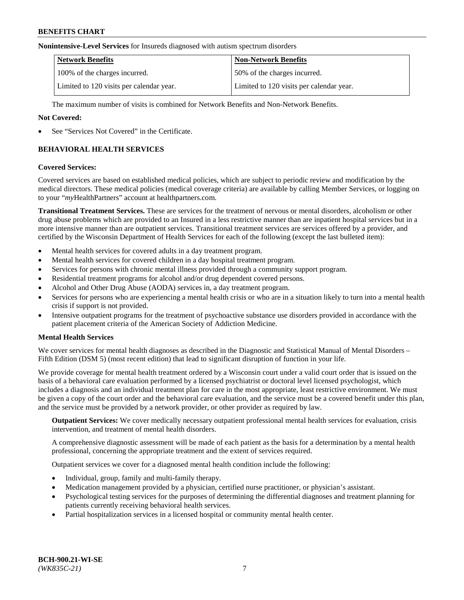#### **Nonintensive-Level Services** for Insureds diagnosed with autism spectrum disorders

| <b>Network Benefits</b>                  | <b>Non-Network Benefits</b>              |
|------------------------------------------|------------------------------------------|
| 100% of the charges incurred.            | 50% of the charges incurred.             |
| Limited to 120 visits per calendar year. | Limited to 120 visits per calendar year. |

The maximum number of visits is combined for Network Benefits and Non-Network Benefits.

#### **Not Covered:**

See "Services Not Covered" in the Certificate.

## **BEHAVIORAL HEALTH SERVICES**

#### **Covered Services:**

Covered services are based on established medical policies, which are subject to periodic review and modification by the medical directors. These medical policies (medical coverage criteria) are available by calling Member Services, or logging on to your "*my*HealthPartners" account at [healthpartners.com.](https://www.healthpartners.com/hp/index.html)

**Transitional Treatment Services.** These are services for the treatment of nervous or mental disorders, alcoholism or other drug abuse problems which are provided to an Insured in a less restrictive manner than are inpatient hospital services but in a more intensive manner than are outpatient services. Transitional treatment services are services offered by a provider, and certified by the Wisconsin Department of Health Services for each of the following (except the last bulleted item):

- Mental health services for covered adults in a day treatment program.
- Mental health services for covered children in a day hospital treatment program.
- Services for persons with chronic mental illness provided through a community support program.
- Residential treatment programs for alcohol and/or drug dependent covered persons.
- Alcohol and Other Drug Abuse (AODA) services in, a day treatment program.
- Services for persons who are experiencing a mental health crisis or who are in a situation likely to turn into a mental health crisis if support is not provided.
- Intensive outpatient programs for the treatment of psychoactive substance use disorders provided in accordance with the patient placement criteria of the American Society of Addiction Medicine.

## **Mental Health Services**

We cover services for mental health diagnoses as described in the Diagnostic and Statistical Manual of Mental Disorders – Fifth Edition (DSM 5) (most recent edition) that lead to significant disruption of function in your life.

We provide coverage for mental health treatment ordered by a Wisconsin court under a valid court order that is issued on the basis of a behavioral care evaluation performed by a licensed psychiatrist or doctoral level licensed psychologist, which includes a diagnosis and an individual treatment plan for care in the most appropriate, least restrictive environment. We must be given a copy of the court order and the behavioral care evaluation, and the service must be a covered benefit under this plan, and the service must be provided by a network provider, or other provider as required by law.

**Outpatient Services:** We cover medically necessary outpatient professional mental health services for evaluation, crisis intervention, and treatment of mental health disorders.

A comprehensive diagnostic assessment will be made of each patient as the basis for a determination by a mental health professional, concerning the appropriate treatment and the extent of services required.

Outpatient services we cover for a diagnosed mental health condition include the following:

- Individual, group, family and multi-family therapy.
- Medication management provided by a physician, certified nurse practitioner, or physician's assistant.
- Psychological testing services for the purposes of determining the differential diagnoses and treatment planning for patients currently receiving behavioral health services.
- Partial hospitalization services in a licensed hospital or community mental health center.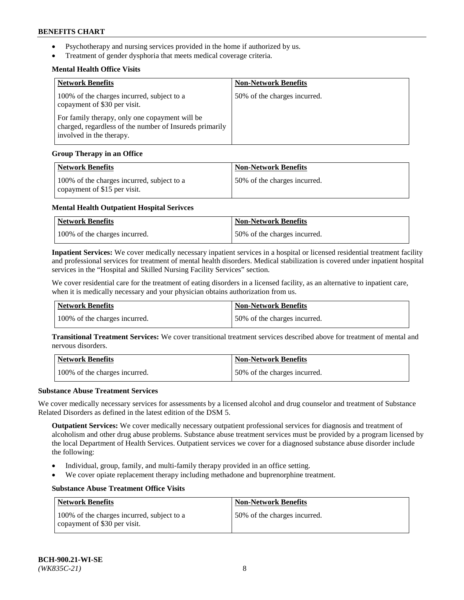- Psychotherapy and nursing services provided in the home if authorized by us.
- Treatment of gender dysphoria that meets medical coverage criteria.

## **Mental Health Office Visits**

| <b>Network Benefits</b>                                                                                                               | <b>Non-Network Benefits</b>  |
|---------------------------------------------------------------------------------------------------------------------------------------|------------------------------|
| 100% of the charges incurred, subject to a<br>copayment of \$30 per visit.                                                            | 50% of the charges incurred. |
| For family therapy, only one copayment will be<br>charged, regardless of the number of Insureds primarily<br>involved in the therapy. |                              |

## **Group Therapy in an Office**

| <b>Network Benefits</b>                                                    | <b>Non-Network Benefits</b>  |
|----------------------------------------------------------------------------|------------------------------|
| 100% of the charges incurred, subject to a<br>copayment of \$15 per visit. | 50% of the charges incurred. |

## **Mental Health Outpatient Hospital Serivces**

| Network Benefits              | <b>Non-Network Benefits</b>  |
|-------------------------------|------------------------------|
| 100% of the charges incurred. | 50% of the charges incurred. |

**Inpatient Services:** We cover medically necessary inpatient services in a hospital or licensed residential treatment facility and professional services for treatment of mental health disorders. Medical stabilization is covered under inpatient hospital services in the "Hospital and Skilled Nursing Facility Services" section.

We cover residential care for the treatment of eating disorders in a licensed facility, as an alternative to inpatient care, when it is medically necessary and your physician obtains authorization from us.

| <b>Network Benefits</b>       | <b>Non-Network Benefits</b>  |
|-------------------------------|------------------------------|
| 100% of the charges incurred. | 50% of the charges incurred. |

**Transitional Treatment Services:** We cover transitional treatment services described above for treatment of mental and nervous disorders.

| Network Benefits              | Non-Network Benefits         |
|-------------------------------|------------------------------|
| 100% of the charges incurred. | 50% of the charges incurred. |

#### **Substance Abuse Treatment Services**

We cover medically necessary services for assessments by a licensed alcohol and drug counselor and treatment of Substance Related Disorders as defined in the latest edition of the DSM 5.

**Outpatient Services:** We cover medically necessary outpatient professional services for diagnosis and treatment of alcoholism and other drug abuse problems. Substance abuse treatment services must be provided by a program licensed by the local Department of Health Services. Outpatient services we cover for a diagnosed substance abuse disorder include the following:

- Individual, group, family, and multi-family therapy provided in an office setting.
- We cover opiate replacement therapy including methadone and buprenorphine treatment.

## **Substance Abuse Treatment Office Visits**

| Network Benefits                                                           | <b>Non-Network Benefits</b>  |
|----------------------------------------------------------------------------|------------------------------|
| 100% of the charges incurred, subject to a<br>copayment of \$30 per visit. | 50% of the charges incurred. |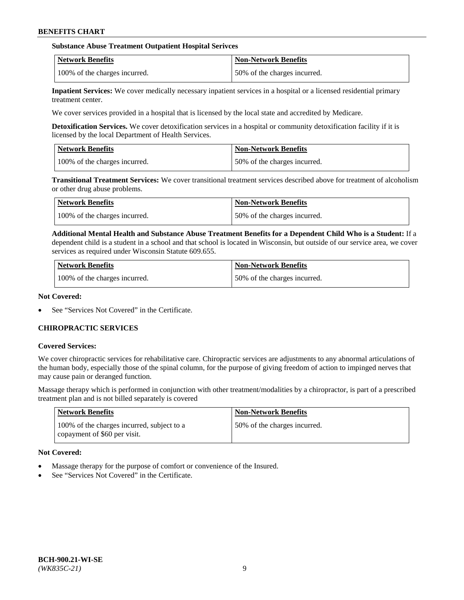### **Substance Abuse Treatment Outpatient Hospital Serivces**

| Network Benefits              | <b>Non-Network Benefits</b>  |
|-------------------------------|------------------------------|
| 100% of the charges incurred. | 50% of the charges incurred. |

**Inpatient Services:** We cover medically necessary inpatient services in a hospital or a licensed residential primary treatment center.

We cover services provided in a hospital that is licensed by the local state and accredited by Medicare.

**Detoxification Services.** We cover detoxification services in a hospital or community detoxification facility if it is licensed by the local Department of Health Services.

| <b>Network Benefits</b>       | <b>Non-Network Benefits</b>  |
|-------------------------------|------------------------------|
| 100% of the charges incurred. | 50% of the charges incurred. |

**Transitional Treatment Services:** We cover transitional treatment services described above for treatment of alcoholism or other drug abuse problems.

| Network Benefits              | <b>Non-Network Benefits</b>  |
|-------------------------------|------------------------------|
| 100% of the charges incurred. | 50% of the charges incurred. |

**Additional Mental Health and Substance Abuse Treatment Benefits for a Dependent Child Who is a Student:** If a dependent child is a student in a school and that school is located in Wisconsin, but outside of our service area, we cover services as required under Wisconsin Statute 609.655.

| <b>Network Benefits</b>       | <b>Non-Network Benefits</b>  |
|-------------------------------|------------------------------|
| 100% of the charges incurred. | 50% of the charges incurred. |

#### **Not Covered:**

See "Services Not Covered" in the Certificate.

## **CHIROPRACTIC SERVICES**

#### **Covered Services:**

We cover chiropractic services for rehabilitative care. Chiropractic services are adjustments to any abnormal articulations of the human body, especially those of the spinal column, for the purpose of giving freedom of action to impinged nerves that may cause pain or deranged function.

Massage therapy which is performed in conjunction with other treatment/modalities by a chiropractor, is part of a prescribed treatment plan and is not billed separately is covered

| <b>Network Benefits</b>                                                    | <b>Non-Network Benefits</b>  |
|----------------------------------------------------------------------------|------------------------------|
| 100% of the charges incurred, subject to a<br>copayment of \$60 per visit. | 50% of the charges incurred. |

## **Not Covered:**

- Massage therapy for the purpose of comfort or convenience of the Insured.
- See "Services Not Covered" in the Certificate.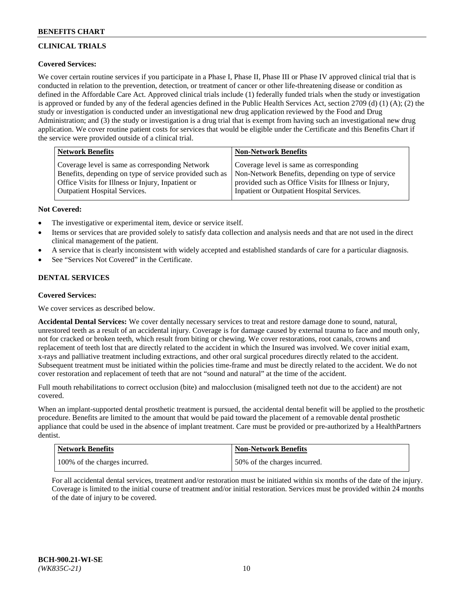# **CLINICAL TRIALS**

## **Covered Services:**

We cover certain routine services if you participate in a Phase I, Phase II, Phase III or Phase IV approved clinical trial that is conducted in relation to the prevention, detection, or treatment of cancer or other life-threatening disease or condition as defined in the Affordable Care Act. Approved clinical trials include (1) federally funded trials when the study or investigation is approved or funded by any of the federal agencies defined in the Public Health Services Act, section 2709 (d) (1) (A); (2) the study or investigation is conducted under an investigational new drug application reviewed by the Food and Drug Administration; and (3) the study or investigation is a drug trial that is exempt from having such an investigational new drug application. We cover routine patient costs for services that would be eligible under the Certificate and this Benefits Chart if the service were provided outside of a clinical trial.

| Network Benefits                                        | <b>Non-Network Benefits</b>                           |
|---------------------------------------------------------|-------------------------------------------------------|
| Coverage level is same as corresponding Network         | Coverage level is same as corresponding               |
| Benefits, depending on type of service provided such as | Non-Network Benefits, depending on type of service    |
| Office Visits for Illness or Injury, Inpatient or       | provided such as Office Visits for Illness or Injury, |
| Outpatient Hospital Services.                           | Inpatient or Outpatient Hospital Services.            |

## **Not Covered:**

- The investigative or experimental item, device or service itself.
- Items or services that are provided solely to satisfy data collection and analysis needs and that are not used in the direct clinical management of the patient.
- A service that is clearly inconsistent with widely accepted and established standards of care for a particular diagnosis.
- See "Services Not Covered" in the Certificate.

## **DENTAL SERVICES**

## **Covered Services:**

We cover services as described below.

**Accidental Dental Services:** We cover dentally necessary services to treat and restore damage done to sound, natural, unrestored teeth as a result of an accidental injury. Coverage is for damage caused by external trauma to face and mouth only, not for cracked or broken teeth, which result from biting or chewing. We cover restorations, root canals, crowns and replacement of teeth lost that are directly related to the accident in which the Insured was involved. We cover initial exam, x-rays and palliative treatment including extractions, and other oral surgical procedures directly related to the accident. Subsequent treatment must be initiated within the policies time-frame and must be directly related to the accident. We do not cover restoration and replacement of teeth that are not "sound and natural" at the time of the accident.

Full mouth rehabilitations to correct occlusion (bite) and malocclusion (misaligned teeth not due to the accident) are not covered.

When an implant-supported dental prosthetic treatment is pursued, the accidental dental benefit will be applied to the prosthetic procedure. Benefits are limited to the amount that would be paid toward the placement of a removable dental prosthetic appliance that could be used in the absence of implant treatment. Care must be provided or pre-authorized by a HealthPartners dentist.

| Network Benefits              | <b>Non-Network Benefits</b>  |
|-------------------------------|------------------------------|
| 100% of the charges incurred. | 50% of the charges incurred. |

For all accidental dental services, treatment and/or restoration must be initiated within six months of the date of the injury. Coverage is limited to the initial course of treatment and/or initial restoration. Services must be provided within 24 months of the date of injury to be covered.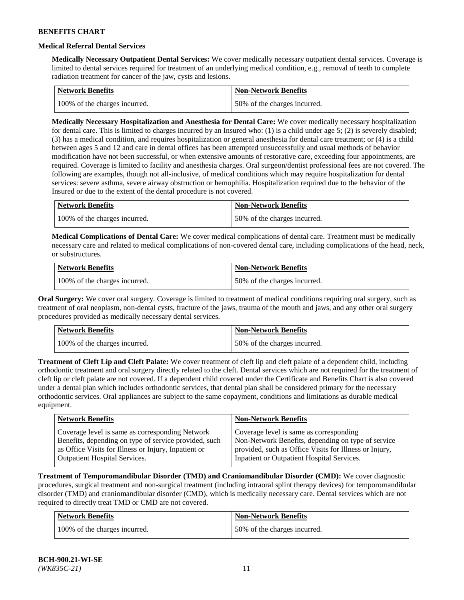# **Medical Referral Dental Services**

**Medically Necessary Outpatient Dental Services:** We cover medically necessary outpatient dental services. Coverage is limited to dental services required for treatment of an underlying medical condition, e.g., removal of teeth to complete radiation treatment for cancer of the jaw, cysts and lesions.

| <b>Network Benefits</b>       | Non-Network Benefits         |
|-------------------------------|------------------------------|
| 100% of the charges incurred. | 50% of the charges incurred. |

**Medically Necessary Hospitalization and Anesthesia for Dental Care:** We cover medically necessary hospitalization for dental care. This is limited to charges incurred by an Insured who: (1) is a child under age  $5$ ; (2) is severely disabled; (3) has a medical condition, and requires hospitalization or general anesthesia for dental care treatment; or (4) is a child between ages 5 and 12 and care in dental offices has been attempted unsuccessfully and usual methods of behavior modification have not been successful, or when extensive amounts of restorative care, exceeding four appointments, are required. Coverage is limited to facility and anesthesia charges. Oral surgeon/dentist professional fees are not covered. The following are examples, though not all-inclusive, of medical conditions which may require hospitalization for dental services: severe asthma, severe airway obstruction or hemophilia. Hospitalization required due to the behavior of the Insured or due to the extent of the dental procedure is not covered.

| Network Benefits              | <b>Non-Network Benefits</b>  |
|-------------------------------|------------------------------|
| 100% of the charges incurred. | 50% of the charges incurred. |

**Medical Complications of Dental Care:** We cover medical complications of dental care. Treatment must be medically necessary care and related to medical complications of non-covered dental care, including complications of the head, neck, or substructures.

| Network Benefits              | <b>Non-Network Benefits</b>  |
|-------------------------------|------------------------------|
| 100% of the charges incurred. | 50% of the charges incurred. |

**Oral Surgery:** We cover oral surgery. Coverage is limited to treatment of medical conditions requiring oral surgery, such as treatment of oral neoplasm, non-dental cysts, fracture of the jaws, trauma of the mouth and jaws, and any other oral surgery procedures provided as medically necessary dental services.

| Network Benefits              | <b>Non-Network Benefits</b>  |
|-------------------------------|------------------------------|
| 100% of the charges incurred. | 50% of the charges incurred. |

**Treatment of Cleft Lip and Cleft Palate:** We cover treatment of cleft lip and cleft palate of a dependent child, including orthodontic treatment and oral surgery directly related to the cleft. Dental services which are not required for the treatment of cleft lip or cleft palate are not covered. If a dependent child covered under the Certificate and Benefits Chart is also covered under a dental plan which includes orthodontic services, that dental plan shall be considered primary for the necessary orthodontic services. Oral appliances are subject to the same copayment, conditions and limitations as durable medical equipment.

| <b>Network Benefits</b>                               | <b>Non-Network Benefits</b>                            |
|-------------------------------------------------------|--------------------------------------------------------|
| Coverage level is same as corresponding Network       | Coverage level is same as corresponding                |
| Benefits, depending on type of service provided, such | Non-Network Benefits, depending on type of service     |
| as Office Visits for Illness or Injury, Inpatient or  | provided, such as Office Visits for Illness or Injury, |
| Outpatient Hospital Services.                         | Inpatient or Outpatient Hospital Services.             |

**Treatment of Temporomandibular Disorder (TMD) and Craniomandibular Disorder (CMD):** We cover diagnostic procedures, surgical treatment and non-surgical treatment (including intraoral splint therapy devices) for temporomandibular disorder (TMD) and craniomandibular disorder (CMD), which is medically necessary care. Dental services which are not required to directly treat TMD or CMD are not covered.

| <b>Network Benefits</b>       | <b>Non-Network Benefits</b>  |
|-------------------------------|------------------------------|
| 100% of the charges incurred. | 50% of the charges incurred. |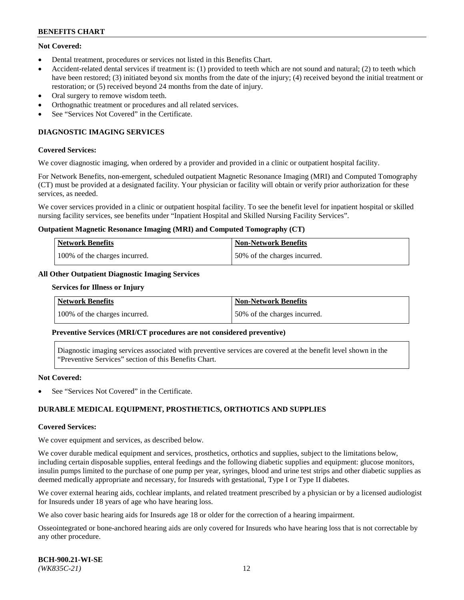## **Not Covered:**

- Dental treatment, procedures or services not listed in this Benefits Chart.
- Accident-related dental services if treatment is: (1) provided to teeth which are not sound and natural; (2) to teeth which have been restored; (3) initiated beyond six months from the date of the injury; (4) received beyond the initial treatment or restoration; or (5) received beyond 24 months from the date of injury.
- Oral surgery to remove wisdom teeth.
- Orthognathic treatment or procedures and all related services.
- See "Services Not Covered" in the Certificate.

## **DIAGNOSTIC IMAGING SERVICES**

#### **Covered Services:**

We cover diagnostic imaging, when ordered by a provider and provided in a clinic or outpatient hospital facility.

For Network Benefits, non-emergent, scheduled outpatient Magnetic Resonance Imaging (MRI) and Computed Tomography (CT) must be provided at a designated facility. Your physician or facility will obtain or verify prior authorization for these services, as needed.

We cover services provided in a clinic or outpatient hospital facility. To see the benefit level for inpatient hospital or skilled nursing facility services, see benefits under "Inpatient Hospital and Skilled Nursing Facility Services".

#### **Outpatient Magnetic Resonance Imaging (MRI) and Computed Tomography (CT)**

| <b>Network Benefits</b>       | <b>Non-Network Benefits</b>  |
|-------------------------------|------------------------------|
| 100% of the charges incurred. | 50% of the charges incurred. |

## **All Other Outpatient Diagnostic Imaging Services**

#### **Services for Illness or Injury**

| <b>Network Benefits</b>       | Non-Network Benefits         |
|-------------------------------|------------------------------|
| 100% of the charges incurred. | 50% of the charges incurred. |

#### **Preventive Services (MRI/CT procedures are not considered preventive)**

Diagnostic imaging services associated with preventive services are covered at the benefit level shown in the "Preventive Services" section of this Benefits Chart.

#### **Not Covered:**

See "Services Not Covered" in the Certificate.

## **DURABLE MEDICAL EQUIPMENT, PROSTHETICS, ORTHOTICS AND SUPPLIES**

#### **Covered Services:**

We cover equipment and services, as described below.

We cover durable medical equipment and services, prosthetics, orthotics and supplies, subject to the limitations below, including certain disposable supplies, enteral feedings and the following diabetic supplies and equipment: glucose monitors, insulin pumps limited to the purchase of one pump per year, syringes, blood and urine test strips and other diabetic supplies as deemed medically appropriate and necessary, for Insureds with gestational, Type I or Type II diabetes.

We cover external hearing aids, cochlear implants, and related treatment prescribed by a physician or by a licensed audiologist for Insureds under 18 years of age who have hearing loss.

We also cover basic hearing aids for Insureds age 18 or older for the correction of a hearing impairment.

Osseointegrated or bone-anchored hearing aids are only covered for Insureds who have hearing loss that is not correctable by any other procedure.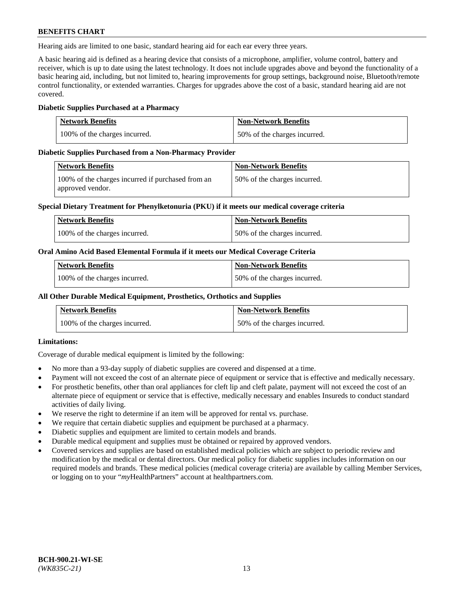Hearing aids are limited to one basic, standard hearing aid for each ear every three years.

A basic hearing aid is defined as a hearing device that consists of a microphone, amplifier, volume control, battery and receiver, which is up to date using the latest technology. It does not include upgrades above and beyond the functionality of a basic hearing aid, including, but not limited to, hearing improvements for group settings, background noise, Bluetooth/remote control functionality, or extended warranties. Charges for upgrades above the cost of a basic, standard hearing aid are not covered.

## **Diabetic Supplies Purchased at a Pharmacy**

| <b>Network Benefits</b>       | <b>Non-Network Benefits</b>  |
|-------------------------------|------------------------------|
| 100% of the charges incurred. | 50% of the charges incurred. |

## **Diabetic Supplies Purchased from a Non-Pharmacy Provider**

| Network Benefits                                                      | <b>Non-Network Benefits</b>  |
|-----------------------------------------------------------------------|------------------------------|
| 100% of the charges incurred if purchased from an<br>approved vendor. | 50% of the charges incurred. |

## **Special Dietary Treatment for Phenylketonuria (PKU) if it meets our medical coverage criteria**

| Network Benefits              | <b>Non-Network Benefits</b>  |
|-------------------------------|------------------------------|
| 100% of the charges incurred. | 50% of the charges incurred. |

## **Oral Amino Acid Based Elemental Formula if it meets our Medical Coverage Criteria**

| <b>Network Benefits</b>       | <b>Non-Network Benefits</b>  |
|-------------------------------|------------------------------|
| 100% of the charges incurred. | 50% of the charges incurred. |

## **All Other Durable Medical Equipment, Prosthetics, Orthotics and Supplies**

| <b>Network Benefits</b>       | <b>Non-Network Benefits</b>  |
|-------------------------------|------------------------------|
| 100% of the charges incurred. | 50% of the charges incurred. |

## **Limitations:**

Coverage of durable medical equipment is limited by the following:

- No more than a 93-day supply of diabetic supplies are covered and dispensed at a time.
- Payment will not exceed the cost of an alternate piece of equipment or service that is effective and medically necessary.
- For prosthetic benefits, other than oral appliances for cleft lip and cleft palate, payment will not exceed the cost of an alternate piece of equipment or service that is effective, medically necessary and enables Insureds to conduct standard activities of daily living.
- We reserve the right to determine if an item will be approved for rental vs. purchase.
- We require that certain diabetic supplies and equipment be purchased at a pharmacy.
- Diabetic supplies and equipment are limited to certain models and brands.
- Durable medical equipment and supplies must be obtained or repaired by approved vendors.
- Covered services and supplies are based on established medical policies which are subject to periodic review and modification by the medical or dental directors. Our medical policy for diabetic supplies includes information on our required models and brands. These medical policies (medical coverage criteria) are available by calling Member Services, or logging on to your "*my*HealthPartners" account a[t healthpartners.com.](https://www.healthpartners.com/hp/index.html)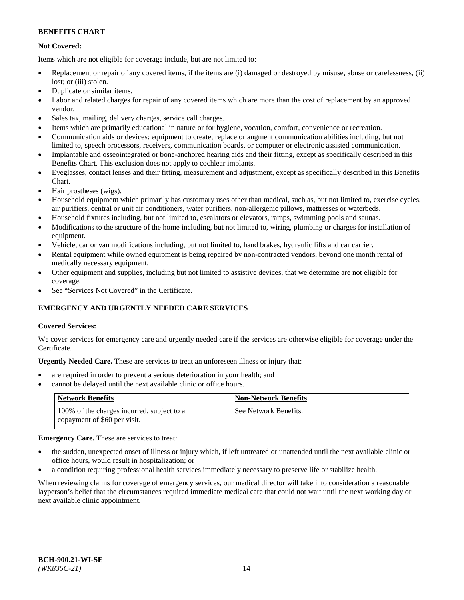## **Not Covered:**

Items which are not eligible for coverage include, but are not limited to:

- Replacement or repair of any covered items, if the items are (i) damaged or destroyed by misuse, abuse or carelessness, (ii) lost; or (iii) stolen.
- Duplicate or similar items.
- Labor and related charges for repair of any covered items which are more than the cost of replacement by an approved vendor.
- Sales tax, mailing, delivery charges, service call charges.
- Items which are primarily educational in nature or for hygiene, vocation, comfort, convenience or recreation.
- Communication aids or devices: equipment to create, replace or augment communication abilities including, but not limited to, speech processors, receivers, communication boards, or computer or electronic assisted communication.
- Implantable and osseointegrated or bone-anchored hearing aids and their fitting, except as specifically described in this Benefits Chart. This exclusion does not apply to cochlear implants.
- Eyeglasses, contact lenses and their fitting, measurement and adjustment, except as specifically described in this Benefits Chart.
- Hair prostheses (wigs).
- Household equipment which primarily has customary uses other than medical, such as, but not limited to, exercise cycles, air purifiers, central or unit air conditioners, water purifiers, non-allergenic pillows, mattresses or waterbeds.
- Household fixtures including, but not limited to, escalators or elevators, ramps, swimming pools and saunas.
- Modifications to the structure of the home including, but not limited to, wiring, plumbing or charges for installation of equipment.
- Vehicle, car or van modifications including, but not limited to, hand brakes, hydraulic lifts and car carrier.
- Rental equipment while owned equipment is being repaired by non-contracted vendors, beyond one month rental of medically necessary equipment.
- Other equipment and supplies, including but not limited to assistive devices, that we determine are not eligible for coverage.
- See "Services Not Covered" in the Certificate.

## **EMERGENCY AND URGENTLY NEEDED CARE SERVICES**

## **Covered Services:**

We cover services for emergency care and urgently needed care if the services are otherwise eligible for coverage under the Certificate.

**Urgently Needed Care.** These are services to treat an unforeseen illness or injury that:

- are required in order to prevent a serious deterioration in your health; and
- cannot be delayed until the next available clinic or office hours.

| <b>Network Benefits</b>                                                    | <b>Non-Network Benefits</b> |
|----------------------------------------------------------------------------|-----------------------------|
| 100% of the charges incurred, subject to a<br>copayment of \$60 per visit. | See Network Benefits.       |

## **Emergency Care.** These are services to treat:

- the sudden, unexpected onset of illness or injury which, if left untreated or unattended until the next available clinic or office hours, would result in hospitalization; or
- a condition requiring professional health services immediately necessary to preserve life or stabilize health.

When reviewing claims for coverage of emergency services, our medical director will take into consideration a reasonable layperson's belief that the circumstances required immediate medical care that could not wait until the next working day or next available clinic appointment.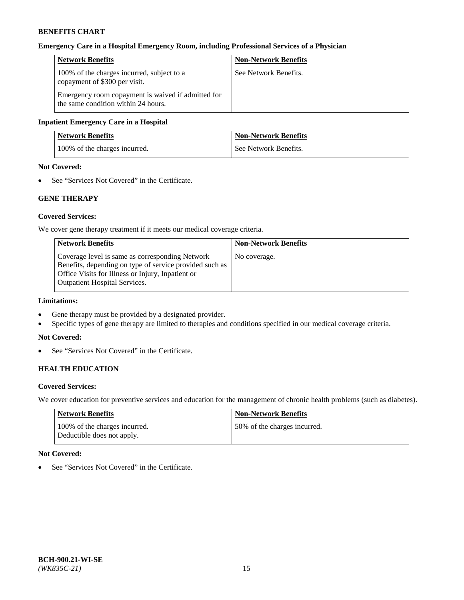#### **Emergency Care in a Hospital Emergency Room, including Professional Services of a Physician**

| <b>Network Benefits</b>                                                                   | <b>Non-Network Benefits</b> |
|-------------------------------------------------------------------------------------------|-----------------------------|
| 100% of the charges incurred, subject to a<br>copayment of \$300 per visit.               | See Network Benefits.       |
| Emergency room copayment is waived if admitted for<br>the same condition within 24 hours. |                             |

#### **Inpatient Emergency Care in a Hospital**

| <b>Network Benefits</b>       | <b>Non-Network Benefits</b> |
|-------------------------------|-----------------------------|
| 100% of the charges incurred. | See Network Benefits.       |

## **Not Covered:**

• See "Services Not Covered" in the Certificate.

## **GENE THERAPY**

#### **Covered Services:**

We cover gene therapy treatment if it meets our medical coverage criteria.

| <b>Non-Network Benefits</b> |
|-----------------------------|
| No coverage.                |
|                             |
|                             |
|                             |
|                             |

## **Limitations:**

- Gene therapy must be provided by a designated provider.
- Specific types of gene therapy are limited to therapies and conditions specified in our medical coverage criteria.

#### **Not Covered:**

• See "Services Not Covered" in the Certificate.

## **HEALTH EDUCATION**

#### **Covered Services:**

We cover education for preventive services and education for the management of chronic health problems (such as diabetes).

| Network Benefits                                            | Non-Network Benefits         |
|-------------------------------------------------------------|------------------------------|
| 100% of the charges incurred.<br>Deductible does not apply. | 50% of the charges incurred. |

#### **Not Covered:**

• See "Services Not Covered" in the Certificate.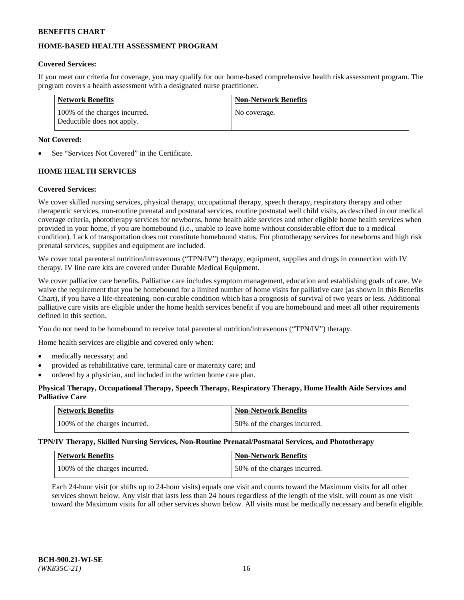## **HOME-BASED HEALTH ASSESSMENT PROGRAM**

## **Covered Services:**

If you meet our criteria for coverage, you may qualify for our home-based comprehensive health risk assessment program. The program covers a health assessment with a designated nurse practitioner.

| <b>Network Benefits</b>                                     | <b>Non-Network Benefits</b> |
|-------------------------------------------------------------|-----------------------------|
| 100% of the charges incurred.<br>Deductible does not apply. | No coverage.                |

## **Not Covered:**

See "Services Not Covered" in the Certificate.

## **HOME HEALTH SERVICES**

## **Covered Services:**

We cover skilled nursing services, physical therapy, occupational therapy, speech therapy, respiratory therapy and other therapeutic services, non-routine prenatal and postnatal services, routine postnatal well child visits, as described in our medical coverage criteria, phototherapy services for newborns, home health aide services and other eligible home health services when provided in your home, if you are homebound (i.e., unable to leave home without considerable effort due to a medical condition). Lack of transportation does not constitute homebound status. For phototherapy services for newborns and high risk prenatal services, supplies and equipment are included.

We cover total parenteral nutrition/intravenous ("TPN/IV") therapy, equipment, supplies and drugs in connection with IV therapy. IV line care kits are covered under Durable Medical Equipment.

We cover palliative care benefits. Palliative care includes symptom management, education and establishing goals of care. We waive the requirement that you be homebound for a limited number of home visits for palliative care (as shown in this Benefits Chart), if you have a life-threatening, non-curable condition which has a prognosis of survival of two years or less. Additional palliative care visits are eligible under the home health services benefit if you are homebound and meet all other requirements defined in this section.

You do not need to be homebound to receive total parenteral nutrition/intravenous ("TPN/IV") therapy.

Home health services are eligible and covered only when:

- medically necessary; and
- provided as rehabilitative care, terminal care or maternity care; and
- ordered by a physician, and included in the written home care plan.

## **Physical Therapy, Occupational Therapy, Speech Therapy, Respiratory Therapy, Home Health Aide Services and Palliative Care**

| Network Benefits              | <b>Non-Network Benefits</b>  |
|-------------------------------|------------------------------|
| 100% of the charges incurred. | 50% of the charges incurred. |

**TPN/IV Therapy, Skilled Nursing Services, Non-Routine Prenatal/Postnatal Services, and Phototherapy**

| Network Benefits              | <b>Non-Network Benefits</b>  |
|-------------------------------|------------------------------|
| 100% of the charges incurred. | 50% of the charges incurred. |

Each 24-hour visit (or shifts up to 24-hour visits) equals one visit and counts toward the Maximum visits for all other services shown below. Any visit that lasts less than 24 hours regardless of the length of the visit, will count as one visit toward the Maximum visits for all other services shown below. All visits must be medically necessary and benefit eligible.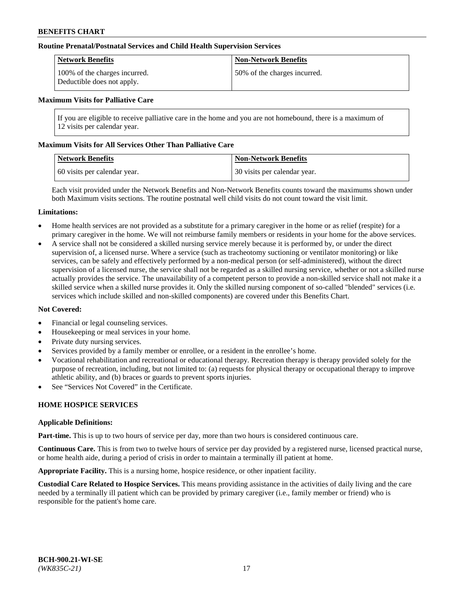#### **Routine Prenatal/Postnatal Services and Child Health Supervision Services**

| Network Benefits                                            | <b>Non-Network Benefits</b>  |
|-------------------------------------------------------------|------------------------------|
| 100% of the charges incurred.<br>Deductible does not apply. | 50% of the charges incurred. |

#### **Maximum Visits for Palliative Care**

If you are eligible to receive palliative care in the home and you are not homebound, there is a maximum of 12 visits per calendar year.

#### **Maximum Visits for All Services Other Than Palliative Care**

| <b>Network Benefits</b>      | <b>Non-Network Benefits</b>  |
|------------------------------|------------------------------|
| 60 visits per calendar year. | 30 visits per calendar year. |

Each visit provided under the Network Benefits and Non-Network Benefits counts toward the maximums shown under both Maximum visits sections. The routine postnatal well child visits do not count toward the visit limit.

#### **Limitations:**

- Home health services are not provided as a substitute for a primary caregiver in the home or as relief (respite) for a primary caregiver in the home. We will not reimburse family members or residents in your home for the above services.
- A service shall not be considered a skilled nursing service merely because it is performed by, or under the direct supervision of, a licensed nurse. Where a service (such as tracheotomy suctioning or ventilator monitoring) or like services, can be safely and effectively performed by a non-medical person (or self-administered), without the direct supervision of a licensed nurse, the service shall not be regarded as a skilled nursing service, whether or not a skilled nurse actually provides the service. The unavailability of a competent person to provide a non-skilled service shall not make it a skilled service when a skilled nurse provides it. Only the skilled nursing component of so-called "blended" services (i.e. services which include skilled and non-skilled components) are covered under this Benefits Chart.

#### **Not Covered:**

- Financial or legal counseling services.
- Housekeeping or meal services in your home.
- Private duty nursing services.
- Services provided by a family member or enrollee, or a resident in the enrollee's home.
- Vocational rehabilitation and recreational or educational therapy. Recreation therapy is therapy provided solely for the purpose of recreation, including, but not limited to: (a) requests for physical therapy or occupational therapy to improve athletic ability, and (b) braces or guards to prevent sports injuries.
- See "Services Not Covered" in the Certificate.

## **HOME HOSPICE SERVICES**

#### **Applicable Definitions:**

**Part-time.** This is up to two hours of service per day, more than two hours is considered continuous care.

**Continuous Care.** This is from two to twelve hours of service per day provided by a registered nurse, licensed practical nurse, or home health aide, during a period of crisis in order to maintain a terminally ill patient at home.

**Appropriate Facility.** This is a nursing home, hospice residence, or other inpatient facility.

**Custodial Care Related to Hospice Services.** This means providing assistance in the activities of daily living and the care needed by a terminally ill patient which can be provided by primary caregiver (i.e., family member or friend) who is responsible for the patient's home care.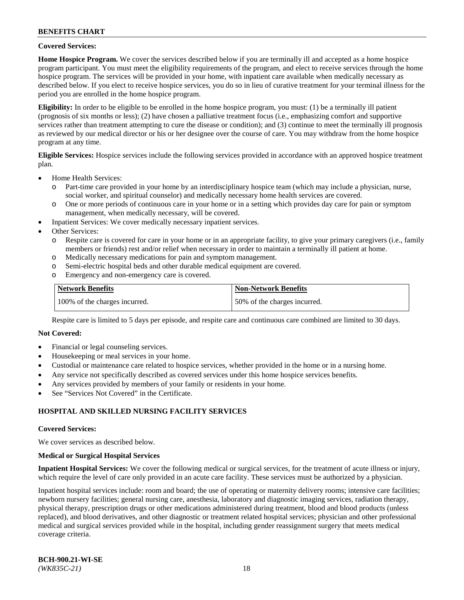### **Covered Services:**

**Home Hospice Program.** We cover the services described below if you are terminally ill and accepted as a home hospice program participant. You must meet the eligibility requirements of the program, and elect to receive services through the home hospice program. The services will be provided in your home, with inpatient care available when medically necessary as described below. If you elect to receive hospice services, you do so in lieu of curative treatment for your terminal illness for the period you are enrolled in the home hospice program.

**Eligibility:** In order to be eligible to be enrolled in the home hospice program, you must: (1) be a terminally ill patient (prognosis of six months or less); (2) have chosen a palliative treatment focus (i.e., emphasizing comfort and supportive services rather than treatment attempting to cure the disease or condition); and (3) continue to meet the terminally ill prognosis as reviewed by our medical director or his or her designee over the course of care. You may withdraw from the home hospice program at any time.

**Eligible Services:** Hospice services include the following services provided in accordance with an approved hospice treatment plan.

- Home Health Services:
	- o Part-time care provided in your home by an interdisciplinary hospice team (which may include a physician, nurse, social worker, and spiritual counselor) and medically necessary home health services are covered.
	- o One or more periods of continuous care in your home or in a setting which provides day care for pain or symptom management, when medically necessary, will be covered.
	- Inpatient Services: We cover medically necessary inpatient services.
- Other Services:
	- o Respite care is covered for care in your home or in an appropriate facility, to give your primary caregivers (i.e., family members or friends) rest and/or relief when necessary in order to maintain a terminally ill patient at home.
	- o Medically necessary medications for pain and symptom management.
	- o Semi-electric hospital beds and other durable medical equipment are covered.
	- o Emergency and non-emergency care is covered.

| Network Benefits              | <b>Non-Network Benefits</b>  |
|-------------------------------|------------------------------|
| 100% of the charges incurred. | 50% of the charges incurred. |

Respite care is limited to 5 days per episode, and respite care and continuous care combined are limited to 30 days.

#### **Not Covered:**

- Financial or legal counseling services.
- Housekeeping or meal services in your home.
- Custodial or maintenance care related to hospice services, whether provided in the home or in a nursing home.
- Any service not specifically described as covered services under this home hospice services benefits.
- Any services provided by members of your family or residents in your home.
- See "Services Not Covered" in the Certificate.

## **HOSPITAL AND SKILLED NURSING FACILITY SERVICES**

#### **Covered Services:**

We cover services as described below.

#### **Medical or Surgical Hospital Services**

**Inpatient Hospital Services:** We cover the following medical or surgical services, for the treatment of acute illness or injury, which require the level of care only provided in an acute care facility. These services must be authorized by a physician.

Inpatient hospital services include: room and board; the use of operating or maternity delivery rooms; intensive care facilities; newborn nursery facilities; general nursing care, anesthesia, laboratory and diagnostic imaging services, radiation therapy, physical therapy, prescription drugs or other medications administered during treatment, blood and blood products (unless replaced), and blood derivatives, and other diagnostic or treatment related hospital services; physician and other professional medical and surgical services provided while in the hospital, including gender reassignment surgery that meets medical coverage criteria.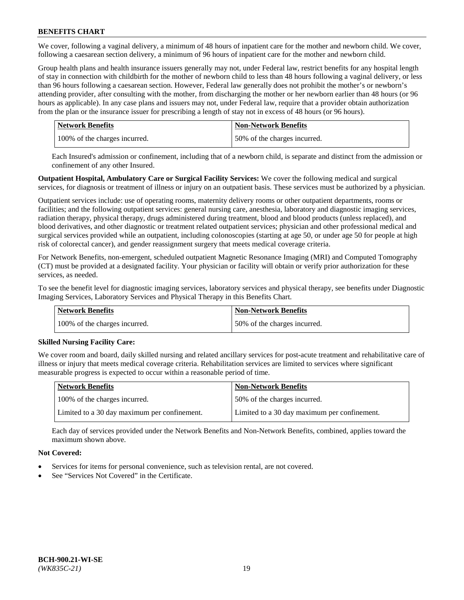We cover, following a vaginal delivery, a minimum of 48 hours of inpatient care for the mother and newborn child. We cover, following a caesarean section delivery, a minimum of 96 hours of inpatient care for the mother and newborn child.

Group health plans and health insurance issuers generally may not, under Federal law, restrict benefits for any hospital length of stay in connection with childbirth for the mother of newborn child to less than 48 hours following a vaginal delivery, or less than 96 hours following a caesarean section. However, Federal law generally does not prohibit the mother's or newborn's attending provider, after consulting with the mother, from discharging the mother or her newborn earlier than 48 hours (or 96 hours as applicable). In any case plans and issuers may not, under Federal law, require that a provider obtain authorization from the plan or the insurance issuer for prescribing a length of stay not in excess of 48 hours (or 96 hours).

| <b>Network Benefits</b>       | <b>Non-Network Benefits</b>  |
|-------------------------------|------------------------------|
| 100% of the charges incurred. | 50% of the charges incurred. |

Each Insured's admission or confinement, including that of a newborn child, is separate and distinct from the admission or confinement of any other Insured.

**Outpatient Hospital, Ambulatory Care or Surgical Facility Services:** We cover the following medical and surgical services, for diagnosis or treatment of illness or injury on an outpatient basis. These services must be authorized by a physician.

Outpatient services include: use of operating rooms, maternity delivery rooms or other outpatient departments, rooms or facilities; and the following outpatient services: general nursing care, anesthesia, laboratory and diagnostic imaging services, radiation therapy, physical therapy, drugs administered during treatment, blood and blood products (unless replaced), and blood derivatives, and other diagnostic or treatment related outpatient services; physician and other professional medical and surgical services provided while an outpatient, including colonoscopies (starting at age 50, or under age 50 for people at high risk of colorectal cancer), and gender reassignment surgery that meets medical coverage criteria.

For Network Benefits, non-emergent, scheduled outpatient Magnetic Resonance Imaging (MRI) and Computed Tomography (CT) must be provided at a designated facility. Your physician or facility will obtain or verify prior authorization for these services, as needed.

To see the benefit level for diagnostic imaging services, laboratory services and physical therapy, see benefits under Diagnostic Imaging Services, Laboratory Services and Physical Therapy in this Benefits Chart.

| <b>Network Benefits</b>       | <b>Non-Network Benefits</b>  |
|-------------------------------|------------------------------|
| 100% of the charges incurred. | 50% of the charges incurred. |

## **Skilled Nursing Facility Care:**

We cover room and board, daily skilled nursing and related ancillary services for post-acute treatment and rehabilitative care of illness or injury that meets medical coverage criteria. Rehabilitation services are limited to services where significant measurable progress is expected to occur within a reasonable period of time.

| <b>Network Benefits</b>                      | <b>Non-Network Benefits</b>                  |
|----------------------------------------------|----------------------------------------------|
| 100% of the charges incurred.                | 50% of the charges incurred.                 |
| Limited to a 30 day maximum per confinement. | Limited to a 30 day maximum per confinement. |

Each day of services provided under the Network Benefits and Non-Network Benefits, combined, applies toward the maximum shown above.

## **Not Covered:**

- Services for items for personal convenience, such as television rental, are not covered.
- See "Services Not Covered" in the Certificate.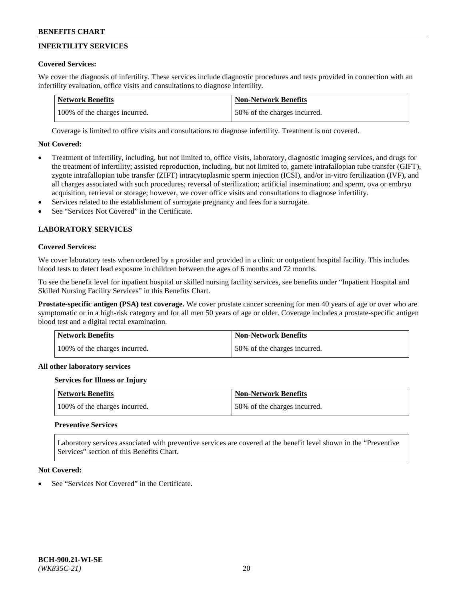## **INFERTILITY SERVICES**

## **Covered Services:**

We cover the diagnosis of infertility. These services include diagnostic procedures and tests provided in connection with an infertility evaluation, office visits and consultations to diagnose infertility.

| Network Benefits              | Non-Network Benefits         |
|-------------------------------|------------------------------|
| 100% of the charges incurred. | 50% of the charges incurred. |

Coverage is limited to office visits and consultations to diagnose infertility. Treatment is not covered.

## **Not Covered:**

- Treatment of infertility, including, but not limited to, office visits, laboratory, diagnostic imaging services, and drugs for the treatment of infertility; assisted reproduction, including, but not limited to, gamete intrafallopian tube transfer (GIFT), zygote intrafallopian tube transfer (ZIFT) intracytoplasmic sperm injection (ICSI), and/or in-vitro fertilization (IVF), and all charges associated with such procedures; reversal of sterilization; artificial insemination; and sperm, ova or embryo acquisition, retrieval or storage; however, we cover office visits and consultations to diagnose infertility.
- Services related to the establishment of surrogate pregnancy and fees for a surrogate.
- See "Services Not Covered" in the Certificate.

## **LABORATORY SERVICES**

#### **Covered Services:**

We cover laboratory tests when ordered by a provider and provided in a clinic or outpatient hospital facility. This includes blood tests to detect lead exposure in children between the ages of 6 months and 72 months.

To see the benefit level for inpatient hospital or skilled nursing facility services, see benefits under "Inpatient Hospital and Skilled Nursing Facility Services" in this Benefits Chart.

**Prostate-specific antigen (PSA) test coverage.** We cover prostate cancer screening for men 40 years of age or over who are symptomatic or in a high-risk category and for all men 50 years of age or older. Coverage includes a prostate-specific antigen blood test and a digital rectal examination.

| Network Benefits              | <b>Non-Network Benefits</b>  |
|-------------------------------|------------------------------|
| 100% of the charges incurred. | 50% of the charges incurred. |

## **All other laboratory services**

#### **Services for Illness or Injury**

| <b>Network Benefits</b>       | <b>Non-Network Benefits</b>  |
|-------------------------------|------------------------------|
| 100% of the charges incurred. | 50% of the charges incurred. |

## **Preventive Services**

Laboratory services associated with preventive services are covered at the benefit level shown in the "Preventive Services" section of this Benefits Chart.

#### **Not Covered:**

See "Services Not Covered" in the Certificate.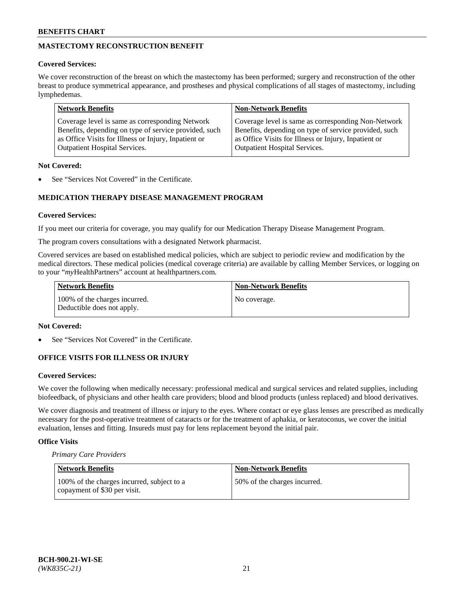## **MASTECTOMY RECONSTRUCTION BENEFIT**

## **Covered Services:**

We cover reconstruction of the breast on which the mastectomy has been performed; surgery and reconstruction of the other breast to produce symmetrical appearance, and prostheses and physical complications of all stages of mastectomy, including lymphedemas.

| <b>Network Benefits</b>                               | <b>Non-Network Benefits</b>                           |
|-------------------------------------------------------|-------------------------------------------------------|
| Coverage level is same as corresponding Network       | Coverage level is same as corresponding Non-Network   |
| Benefits, depending on type of service provided, such | Benefits, depending on type of service provided, such |
| as Office Visits for Illness or Injury, Inpatient or  | as Office Visits for Illness or Injury, Inpatient or  |
| <b>Outpatient Hospital Services.</b>                  | <b>Outpatient Hospital Services.</b>                  |

## **Not Covered:**

See "Services Not Covered" in the Certificate.

## **MEDICATION THERAPY DISEASE MANAGEMENT PROGRAM**

#### **Covered Services:**

If you meet our criteria for coverage, you may qualify for our Medication Therapy Disease Management Program.

The program covers consultations with a designated Network pharmacist.

Covered services are based on established medical policies, which are subject to periodic review and modification by the medical directors. These medical policies (medical coverage criteria) are available by calling Member Services, or logging on to your "*my*HealthPartners" account at [healthpartners.com.](http://www.healthpartners.com/)

| Network Benefits                                            | <b>Non-Network Benefits</b> |
|-------------------------------------------------------------|-----------------------------|
| 100% of the charges incurred.<br>Deductible does not apply. | No coverage.                |

#### **Not Covered:**

See "Services Not Covered" in the Certificate.

## **OFFICE VISITS FOR ILLNESS OR INJURY**

#### **Covered Services:**

We cover the following when medically necessary: professional medical and surgical services and related supplies, including biofeedback, of physicians and other health care providers; blood and blood products (unless replaced) and blood derivatives.

We cover diagnosis and treatment of illness or injury to the eyes. Where contact or eye glass lenses are prescribed as medically necessary for the post-operative treatment of cataracts or for the treatment of aphakia, or keratoconus, we cover the initial evaluation, lenses and fitting. Insureds must pay for lens replacement beyond the initial pair.

## **Office Visits**

*Primary Care Providers*

| Network Benefits                                                           | <b>Non-Network Benefits</b>  |
|----------------------------------------------------------------------------|------------------------------|
| 100% of the charges incurred, subject to a<br>copayment of \$30 per visit. | 50% of the charges incurred. |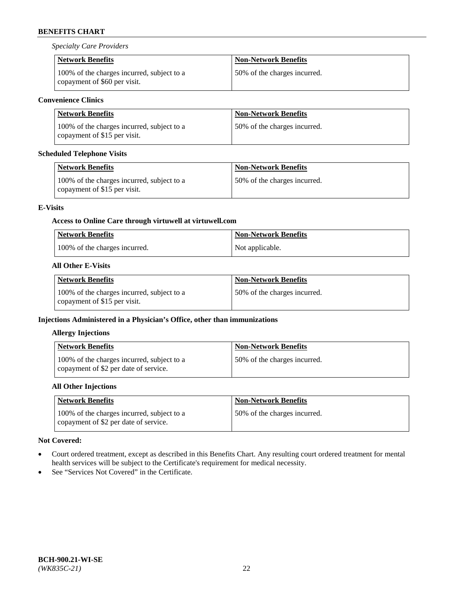*Specialty Care Providers*

| <b>Network Benefits</b>                                                    | <b>Non-Network Benefits</b>  |
|----------------------------------------------------------------------------|------------------------------|
| 100% of the charges incurred, subject to a<br>copayment of \$60 per visit. | 50% of the charges incurred. |

## **Convenience Clinics**

| <b>Network Benefits</b>                                                    | <b>Non-Network Benefits</b>  |
|----------------------------------------------------------------------------|------------------------------|
| 100% of the charges incurred, subject to a<br>copayment of \$15 per visit. | 50% of the charges incurred. |

## **Scheduled Telephone Visits**

| <b>Network Benefits</b>                                                    | <b>Non-Network Benefits</b>  |
|----------------------------------------------------------------------------|------------------------------|
| 100% of the charges incurred, subject to a<br>copayment of \$15 per visit. | 50% of the charges incurred. |

## **E-Visits**

## **Access to Online Care through virtuwell a[t virtuwell.com](https://www.virtuwell.com/)**

| <b>Network Benefits</b>       | <b>Non-Network Benefits</b> |
|-------------------------------|-----------------------------|
| 100% of the charges incurred. | Not applicable.             |

## **All Other E-Visits**

| Network Benefits                                                           | <b>Non-Network Benefits</b>  |
|----------------------------------------------------------------------------|------------------------------|
| 100% of the charges incurred, subject to a<br>copayment of \$15 per visit. | 50% of the charges incurred. |

## **Injections Administered in a Physician's Office, other than immunizations**

## **Allergy Injections**

| <b>Network Benefits</b>                                                             | <b>Non-Network Benefits</b>  |
|-------------------------------------------------------------------------------------|------------------------------|
| 100% of the charges incurred, subject to a<br>copayment of \$2 per date of service. | 50% of the charges incurred. |

## **All Other Injections**

| <b>Network Benefits</b>                                                             | <b>Non-Network Benefits</b>  |
|-------------------------------------------------------------------------------------|------------------------------|
| 100% of the charges incurred, subject to a<br>copayment of \$2 per date of service. | 50% of the charges incurred. |

## **Not Covered:**

- Court ordered treatment, except as described in this Benefits Chart. Any resulting court ordered treatment for mental health services will be subject to the Certificate's requirement for medical necessity.
- See "Services Not Covered" in the Certificate.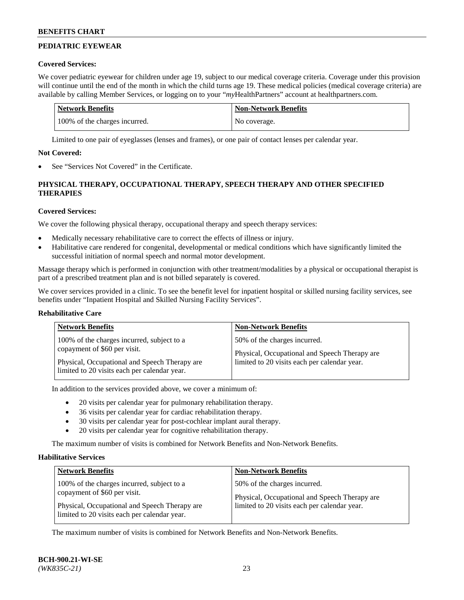## **PEDIATRIC EYEWEAR**

#### **Covered Services:**

We cover pediatric eyewear for children under age 19, subject to our medical coverage criteria. Coverage under this provision will continue until the end of the month in which the child turns age 19. These medical policies (medical coverage criteria) are available by calling Member Services, or logging on to your "*my*HealthPartners" account a[t healthpartners.com.](https://www.healthpartners.com/hp/index.html)

| Network Benefits              | <b>Non-Network Benefits</b> |
|-------------------------------|-----------------------------|
| 100% of the charges incurred. | No coverage.                |

Limited to one pair of eyeglasses (lenses and frames), or one pair of contact lenses per calendar year.

#### **Not Covered:**

See "Services Not Covered" in the Certificate.

## **PHYSICAL THERAPY, OCCUPATIONAL THERAPY, SPEECH THERAPY AND OTHER SPECIFIED THERAPIES**

## **Covered Services:**

We cover the following physical therapy, occupational therapy and speech therapy services:

- Medically necessary rehabilitative care to correct the effects of illness or injury.
- Habilitative care rendered for congenital, developmental or medical conditions which have significantly limited the successful initiation of normal speech and normal motor development.

Massage therapy which is performed in conjunction with other treatment/modalities by a physical or occupational therapist is part of a prescribed treatment plan and is not billed separately is covered.

We cover services provided in a clinic. To see the benefit level for inpatient hospital or skilled nursing facility services, see benefits under "Inpatient Hospital and Skilled Nursing Facility Services".

#### **Rehabilitative Care**

| <b>Network Benefits</b>                       | <b>Non-Network Benefits</b>                   |
|-----------------------------------------------|-----------------------------------------------|
| 100% of the charges incurred, subject to a    | 50% of the charges incurred.                  |
| copayment of \$60 per visit.                  | Physical, Occupational and Speech Therapy are |
| Physical, Occupational and Speech Therapy are | limited to 20 visits each per calendar year.  |
| limited to 20 visits each per calendar year.  |                                               |

In addition to the services provided above, we cover a minimum of:

- 20 visits per calendar year for pulmonary rehabilitation therapy.
- 36 visits per calendar year for cardiac rehabilitation therapy.
- 30 visits per calendar year for post-cochlear implant aural therapy.
- 20 visits per calendar year for cognitive rehabilitation therapy.

The maximum number of visits is combined for Network Benefits and Non-Network Benefits.

#### **Habilitative Services**

| <b>Network Benefits</b>                                                                                                                                                     | <b>Non-Network Benefits</b>                                                                                                   |
|-----------------------------------------------------------------------------------------------------------------------------------------------------------------------------|-------------------------------------------------------------------------------------------------------------------------------|
| 100% of the charges incurred, subject to a<br>copayment of \$60 per visit.<br>Physical, Occupational and Speech Therapy are<br>limited to 20 visits each per calendar year. | 50% of the charges incurred.<br>Physical, Occupational and Speech Therapy are<br>limited to 20 visits each per calendar year. |

The maximum number of visits is combined for Network Benefits and Non-Network Benefits.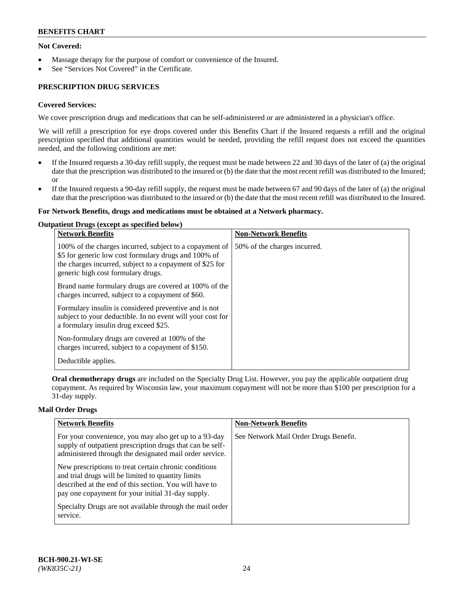## **Not Covered:**

- Massage therapy for the purpose of comfort or convenience of the Insured.
- See "Services Not Covered" in the Certificate.

## **PRESCRIPTION DRUG SERVICES**

#### **Covered Services:**

We cover prescription drugs and medications that can be self-administered or are administered in a physician's office.

We will refill a prescription for eye drops covered under this Benefits Chart if the Insured requests a refill and the original prescription specified that additional quantities would be needed, providing the refill request does not exceed the quantities needed, and the following conditions are met:

- If the Insured requests a 30-day refill supply, the request must be made between 22 and 30 days of the later of (a) the original date that the prescription was distributed to the insured or (b) the date that the most recent refill was distributed to the Insured; or
- If the Insured requests a 90-day refill supply, the request must be made between 67 and 90 days of the later of (a) the original date that the prescription was distributed to the insured or (b) the date that the most recent refill was distributed to the Insured.

#### **For Network Benefits, drugs and medications must be obtained at a Network pharmacy.**

#### **Outpatient Drugs (except as specified below)**

| <b>Network Benefits</b>                                                                                                                                                                                           | <b>Non-Network Benefits</b>  |
|-------------------------------------------------------------------------------------------------------------------------------------------------------------------------------------------------------------------|------------------------------|
| 100% of the charges incurred, subject to a copayment of<br>\$5 for generic low cost formulary drugs and 100% of<br>the charges incurred, subject to a copayment of \$25 for<br>generic high cost formulary drugs. | 50% of the charges incurred. |
| Brand name formulary drugs are covered at 100% of the<br>charges incurred, subject to a copayment of \$60.                                                                                                        |                              |
| Formulary insulin is considered preventive and is not<br>subject to your deductible. In no event will your cost for<br>a formulary insulin drug exceed \$25.                                                      |                              |
| Non-formulary drugs are covered at 100% of the<br>charges incurred, subject to a copayment of \$150.                                                                                                              |                              |
| Deductible applies.                                                                                                                                                                                               |                              |

**Oral chemotherapy drugs** are included on the Specialty Drug List. However, you pay the applicable outpatient drug copayment. As required by Wisconsin law, your maximum copayment will not be more than \$100 per prescription for a 31-day supply.

#### **Mail Order Drugs**

| <b>Network Benefits</b>                                                                                                                                                                                                    | <b>Non-Network Benefits</b>           |
|----------------------------------------------------------------------------------------------------------------------------------------------------------------------------------------------------------------------------|---------------------------------------|
| For your convenience, you may also get up to a 93-day<br>supply of outpatient prescription drugs that can be self-<br>administered through the designated mail order service.                                              | See Network Mail Order Drugs Benefit. |
| New prescriptions to treat certain chronic conditions<br>and trial drugs will be limited to quantity limits<br>described at the end of this section. You will have to<br>pay one copayment for your initial 31-day supply. |                                       |
| Specialty Drugs are not available through the mail order<br>service.                                                                                                                                                       |                                       |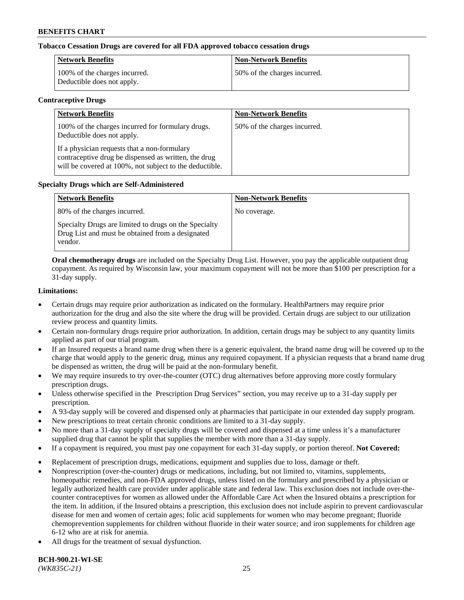## **Tobacco Cessation Drugs are covered for all FDA approved tobacco cessation drugs**

| <b>Network Benefits</b>                                     | <b>Non-Network Benefits</b>  |
|-------------------------------------------------------------|------------------------------|
| 100% of the charges incurred.<br>Deductible does not apply. | 50% of the charges incurred. |

#### **Contraceptive Drugs**

| <b>Network Benefits</b>                                                                                                                                         | <b>Non-Network Benefits</b>  |
|-----------------------------------------------------------------------------------------------------------------------------------------------------------------|------------------------------|
| 100% of the charges incurred for formulary drugs.<br>Deductible does not apply.                                                                                 | 50% of the charges incurred. |
| If a physician requests that a non-formulary<br>contraceptive drug be dispensed as written, the drug<br>will be covered at 100%, not subject to the deductible. |                              |

#### **Specialty Drugs which are Self-Administered**

| <b>Network Benefits</b>                                                                                              | <b>Non-Network Benefits</b> |
|----------------------------------------------------------------------------------------------------------------------|-----------------------------|
| 80% of the charges incurred.                                                                                         | No coverage.                |
| Specialty Drugs are limited to drugs on the Specialty<br>Drug List and must be obtained from a designated<br>vendor. |                             |

**Oral chemotherapy drugs** are included on the Specialty Drug List. However, you pay the applicable outpatient drug copayment. As required by Wisconsin law, your maximum copayment will not be more than \$100 per prescription for a 31-day supply.

#### **Limitations:**

- Certain drugs may require prior authorization as indicated on the formulary. HealthPartners may require prior authorization for the drug and also the site where the drug will be provided. Certain drugs are subject to our utilization review process and quantity limits.
- Certain non-formulary drugs require prior authorization. In addition, certain drugs may be subject to any quantity limits applied as part of our trial program.
- If an Insured requests a brand name drug when there is a generic equivalent, the brand name drug will be covered up to the charge that would apply to the generic drug, minus any required copayment. If a physician requests that a brand name drug be dispensed as written, the drug will be paid at the non-formulary benefit.
- We may require insureds to try over-the-counter (OTC) drug alternatives before approving more costly formulary prescription drugs.
- Unless otherwise specified in the Prescription Drug Services" section, you may receive up to a 31-day supply per prescription.
- A 93-day supply will be covered and dispensed only at pharmacies that participate in our extended day supply program.
- New prescriptions to treat certain chronic conditions are limited to a 31-day supply.
- No more than a 31-day supply of specialty drugs will be covered and dispensed at a time unless it's a manufacturer supplied drug that cannot be split that supplies the member with more than a 31-day supply.
- If a copayment is required, you must pay one copayment for each 31-day supply, or portion thereof. **Not Covered:**
- Replacement of prescription drugs, medications, equipment and supplies due to loss, damage or theft.
- Nonprescription (over-the-counter) drugs or medications, including, but not limited to, vitamins, supplements, homeopathic remedies, and non-FDA approved drugs, unless listed on the formulary and prescribed by a physician or legally authorized health care provider under applicable state and federal law. This exclusion does not include over-thecounter contraceptives for women as allowed under the Affordable Care Act when the Insured obtains a prescription for the item. In addition, if the Insured obtains a prescription, this exclusion does not include aspirin to prevent cardiovascular disease for men and women of certain ages; folic acid supplements for women who may become pregnant; fluoride chemoprevention supplements for children without fluoride in their water source; and iron supplements for children age 6-12 who are at risk for anemia.
- All drugs for the treatment of sexual dysfunction.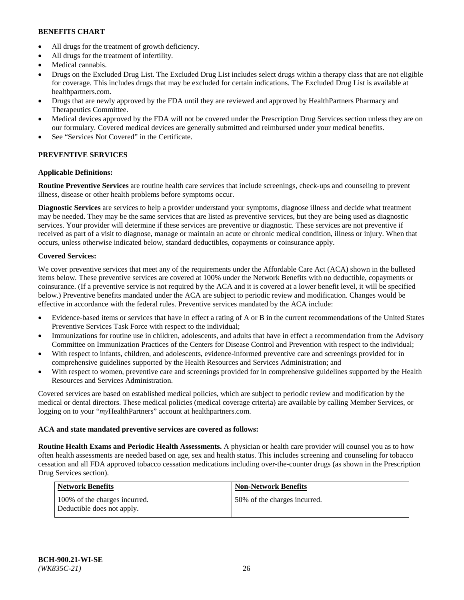- All drugs for the treatment of growth deficiency.
- All drugs for the treatment of infertility.
- Medical cannabis.
- Drugs on the Excluded Drug List. The Excluded Drug List includes select drugs within a therapy class that are not eligible for coverage. This includes drugs that may be excluded for certain indications. The Excluded Drug List is available at [healthpartners.com.](http://www.healthpartners.com/)
- Drugs that are newly approved by the FDA until they are reviewed and approved by HealthPartners Pharmacy and Therapeutics Committee.
- Medical devices approved by the FDA will not be covered under the Prescription Drug Services section unless they are on our formulary. Covered medical devices are generally submitted and reimbursed under your medical benefits.
- See "Services Not Covered" in the Certificate.

## **PREVENTIVE SERVICES**

## **Applicable Definitions:**

**Routine Preventive Services** are routine health care services that include screenings, check-ups and counseling to prevent illness, disease or other health problems before symptoms occur.

**Diagnostic Services** are services to help a provider understand your symptoms, diagnose illness and decide what treatment may be needed. They may be the same services that are listed as preventive services, but they are being used as diagnostic services. Your provider will determine if these services are preventive or diagnostic. These services are not preventive if received as part of a visit to diagnose, manage or maintain an acute or chronic medical condition, illness or injury. When that occurs, unless otherwise indicated below, standard deductibles, copayments or coinsurance apply.

## **Covered Services:**

We cover preventive services that meet any of the requirements under the Affordable Care Act (ACA) shown in the bulleted items below. These preventive services are covered at 100% under the Network Benefits with no deductible, copayments or coinsurance. (If a preventive service is not required by the ACA and it is covered at a lower benefit level, it will be specified below.) Preventive benefits mandated under the ACA are subject to periodic review and modification. Changes would be effective in accordance with the federal rules. Preventive services mandated by the ACA include:

- Evidence-based items or services that have in effect a rating of A or B in the current recommendations of the United States Preventive Services Task Force with respect to the individual;
- Immunizations for routine use in children, adolescents, and adults that have in effect a recommendation from the Advisory Committee on Immunization Practices of the Centers for Disease Control and Prevention with respect to the individual;
- With respect to infants, children, and adolescents, evidence-informed preventive care and screenings provided for in comprehensive guidelines supported by the Health Resources and Services Administration; and
- With respect to women, preventive care and screenings provided for in comprehensive guidelines supported by the Health Resources and Services Administration.

Covered services are based on established medical policies, which are subject to periodic review and modification by the medical or dental directors. These medical policies (medical coverage criteria) are available by calling Member Services, or logging on to your "*my*HealthPartners" account at [healthpartners.com.](https://www.healthpartners.com/hp/index.html)

## **ACA and state mandated preventive services are covered as follows:**

**Routine Health Exams and Periodic Health Assessments.** A physician or health care provider will counsel you as to how often health assessments are needed based on age, sex and health status. This includes screening and counseling for tobacco cessation and all FDA approved tobacco cessation medications including over-the-counter drugs (as shown in the Prescription Drug Services section).

| <b>Network Benefits</b>                                     | <b>Non-Network Benefits</b>  |
|-------------------------------------------------------------|------------------------------|
| 100% of the charges incurred.<br>Deductible does not apply. | 50% of the charges incurred. |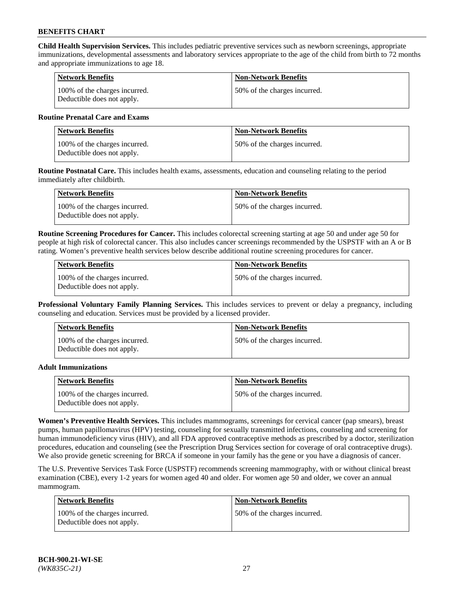**Child Health Supervision Services.** This includes pediatric preventive services such as newborn screenings, appropriate immunizations, developmental assessments and laboratory services appropriate to the age of the child from birth to 72 months and appropriate immunizations to age 18.

| <b>Network Benefits</b>                                     | <b>Non-Network Benefits</b>  |
|-------------------------------------------------------------|------------------------------|
| 100% of the charges incurred.<br>Deductible does not apply. | 50% of the charges incurred. |

#### **Routine Prenatal Care and Exams**

| Network Benefits                                            | <b>Non-Network Benefits</b>  |
|-------------------------------------------------------------|------------------------------|
| 100% of the charges incurred.<br>Deductible does not apply. | 50% of the charges incurred. |

**Routine Postnatal Care.** This includes health exams, assessments, education and counseling relating to the period immediately after childbirth.

| Network Benefits                                            | <b>Non-Network Benefits</b>  |
|-------------------------------------------------------------|------------------------------|
| 100% of the charges incurred.<br>Deductible does not apply. | 50% of the charges incurred. |

**Routine Screening Procedures for Cancer.** This includes colorectal screening starting at age 50 and under age 50 for people at high risk of colorectal cancer. This also includes cancer screenings recommended by the USPSTF with an A or B rating. Women's preventive health services below describe additional routine screening procedures for cancer.

| <b>Network Benefits</b>                                     | <b>Non-Network Benefits</b>   |
|-------------------------------------------------------------|-------------------------------|
| 100% of the charges incurred.<br>Deductible does not apply. | 150% of the charges incurred. |

**Professional Voluntary Family Planning Services.** This includes services to prevent or delay a pregnancy, including counseling and education. Services must be provided by a licensed provider.

| <b>Network Benefits</b>                                     | <b>Non-Network Benefits</b>  |
|-------------------------------------------------------------|------------------------------|
| 100% of the charges incurred.<br>Deductible does not apply. | 50% of the charges incurred. |

#### **Adult Immunizations**

| Network Benefits                                            | <b>Non-Network Benefits</b>   |
|-------------------------------------------------------------|-------------------------------|
| 100% of the charges incurred.<br>Deductible does not apply. | 150% of the charges incurred. |

**Women's Preventive Health Services.** This includes mammograms, screenings for cervical cancer (pap smears), breast pumps, human papillomavirus (HPV) testing, counseling for sexually transmitted infections, counseling and screening for human immunodeficiency virus (HIV), and all FDA approved contraceptive methods as prescribed by a doctor, sterilization procedures, education and counseling (see the Prescription Drug Services section for coverage of oral contraceptive drugs). We also provide genetic screening for BRCA if someone in your family has the gene or you have a diagnosis of cancer.

The U.S. Preventive Services Task Force (USPSTF) recommends screening mammography, with or without clinical breast examination (CBE), every 1-2 years for women aged 40 and older. For women age 50 and older, we cover an annual mammogram.

| <b>Network Benefits</b>                                     | <b>Non-Network Benefits</b>  |
|-------------------------------------------------------------|------------------------------|
| 100% of the charges incurred.<br>Deductible does not apply. | 50% of the charges incurred. |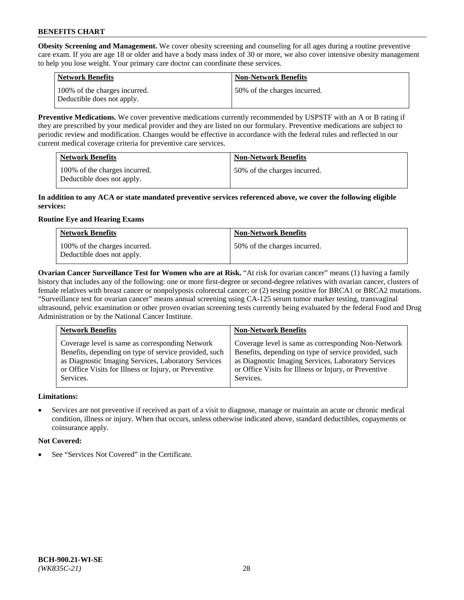**Obesity Screening and Management.** We cover obesity screening and counseling for all ages during a routine preventive care exam. If you are age 18 or older and have a body mass index of 30 or more, we also cover intensive obesity management to help you lose weight. Your primary care doctor can coordinate these services.

| <b>Network Benefits</b>                                     | <b>Non-Network Benefits</b>  |
|-------------------------------------------------------------|------------------------------|
| 100% of the charges incurred.<br>Deductible does not apply. | 50% of the charges incurred. |

**Preventive Medications.** We cover preventive medications currently recommended by USPSTF with an A or B rating if they are prescribed by your medical provider and they are listed on our formulary. Preventive medications are subject to periodic review and modification. Changes would be effective in accordance with the federal rules and reflected in our current medical coverage criteria for preventive care services.

| <b>Network Benefits</b>                                     | <b>Non-Network Benefits</b>  |
|-------------------------------------------------------------|------------------------------|
| 100% of the charges incurred.<br>Deductible does not apply. | 50% of the charges incurred. |

#### **In addition to any ACA or state mandated preventive services referenced above, we cover the following eligible services:**

## **Routine Eye and Hearing Exams**

| <b>Network Benefits</b>                                     | <b>Non-Network Benefits</b>  |
|-------------------------------------------------------------|------------------------------|
| 100% of the charges incurred.<br>Deductible does not apply. | 50% of the charges incurred. |

**Ovarian Cancer Surveillance Test for Women who are at Risk.** "At risk for ovarian cancer" means (1) having a family history that includes any of the following: one or more first-degree or second-degree relatives with ovarian cancer, clusters of female relatives with breast cancer or nonpolyposis colorectal cancer; or (2) testing positive for BRCA1 or BRCA2 mutations. "Surveillance test for ovarian cancer" means annual screening using CA-125 serum tumor marker testing, transvaginal ultrasound, pelvic examination or other proven ovarian screening tests currently being evaluated by the federal Food and Drug Administration or by the National Cancer Institute.

| <b>Network Benefits</b>                               | <b>Non-Network Benefits</b>                           |
|-------------------------------------------------------|-------------------------------------------------------|
| Coverage level is same as corresponding Network       | Coverage level is same as corresponding Non-Network   |
| Benefits, depending on type of service provided, such | Benefits, depending on type of service provided, such |
| as Diagnostic Imaging Services, Laboratory Services   | as Diagnostic Imaging Services, Laboratory Services   |
| or Office Visits for Illness or Injury, or Preventive | or Office Visits for Illness or Injury, or Preventive |
| Services.                                             | Services.                                             |

## **Limitations:**

• Services are not preventive if received as part of a visit to diagnose, manage or maintain an acute or chronic medical condition, illness or injury. When that occurs, unless otherwise indicated above, standard deductibles, copayments or coinsurance apply.

## **Not Covered:**

See "Services Not Covered" in the Certificate.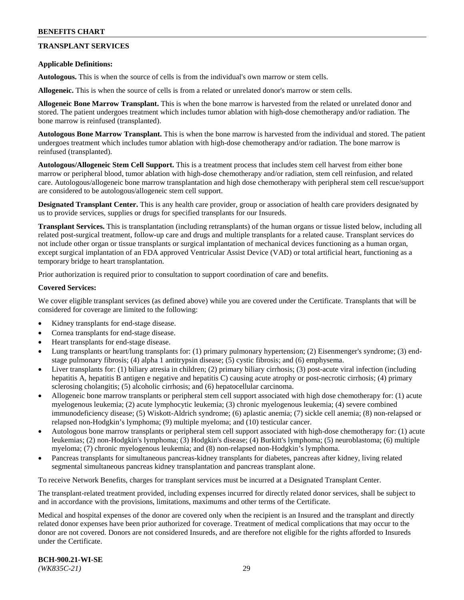## **TRANSPLANT SERVICES**

#### **Applicable Definitions:**

**Autologous.** This is when the source of cells is from the individual's own marrow or stem cells.

**Allogeneic.** This is when the source of cells is from a related or unrelated donor's marrow or stem cells.

**Allogeneic Bone Marrow Transplant.** This is when the bone marrow is harvested from the related or unrelated donor and stored. The patient undergoes treatment which includes tumor ablation with high-dose chemotherapy and/or radiation. The bone marrow is reinfused (transplanted).

**Autologous Bone Marrow Transplant.** This is when the bone marrow is harvested from the individual and stored. The patient undergoes treatment which includes tumor ablation with high-dose chemotherapy and/or radiation. The bone marrow is reinfused (transplanted).

**Autologous/Allogeneic Stem Cell Support.** This is a treatment process that includes stem cell harvest from either bone marrow or peripheral blood, tumor ablation with high-dose chemotherapy and/or radiation, stem cell reinfusion, and related care. Autologous/allogeneic bone marrow transplantation and high dose chemotherapy with peripheral stem cell rescue/support are considered to be autologous/allogeneic stem cell support.

**Designated Transplant Center.** This is any health care provider, group or association of health care providers designated by us to provide services, supplies or drugs for specified transplants for our Insureds.

**Transplant Services.** This is transplantation (including retransplants) of the human organs or tissue listed below, including all related post-surgical treatment, follow-up care and drugs and multiple transplants for a related cause. Transplant services do not include other organ or tissue transplants or surgical implantation of mechanical devices functioning as a human organ, except surgical implantation of an FDA approved Ventricular Assist Device (VAD) or total artificial heart, functioning as a temporary bridge to heart transplantation.

Prior authorization is required prior to consultation to support coordination of care and benefits.

#### **Covered Services:**

We cover eligible transplant services (as defined above) while you are covered under the Certificate. Transplants that will be considered for coverage are limited to the following:

- Kidney transplants for end-stage disease.
- Cornea transplants for end-stage disease.
- Heart transplants for end-stage disease.
- Lung transplants or heart/lung transplants for: (1) primary pulmonary hypertension; (2) Eisenmenger's syndrome; (3) endstage pulmonary fibrosis; (4) alpha 1 antitrypsin disease; (5) cystic fibrosis; and (6) emphysema.
- Liver transplants for: (1) biliary atresia in children; (2) primary biliary cirrhosis; (3) post-acute viral infection (including hepatitis A, hepatitis B antigen e negative and hepatitis C) causing acute atrophy or post-necrotic cirrhosis; (4) primary sclerosing cholangitis; (5) alcoholic cirrhosis; and (6) hepatocellular carcinoma.
- Allogeneic bone marrow transplants or peripheral stem cell support associated with high dose chemotherapy for: (1) acute myelogenous leukemia; (2) acute lymphocytic leukemia; (3) chronic myelogenous leukemia; (4) severe combined immunodeficiency disease; (5) Wiskott-Aldrich syndrome; (6) aplastic anemia; (7) sickle cell anemia; (8) non-relapsed or relapsed non-Hodgkin's lymphoma; (9) multiple myeloma; and (10) testicular cancer.
- Autologous bone marrow transplants or peripheral stem cell support associated with high-dose chemotherapy for: (1) acute leukemias; (2) non-Hodgkin's lymphoma; (3) Hodgkin's disease; (4) Burkitt's lymphoma; (5) neuroblastoma; (6) multiple myeloma; (7) chronic myelogenous leukemia; and (8) non-relapsed non-Hodgkin's lymphoma.
- Pancreas transplants for simultaneous pancreas-kidney transplants for diabetes, pancreas after kidney, living related segmental simultaneous pancreas kidney transplantation and pancreas transplant alone.

To receive Network Benefits, charges for transplant services must be incurred at a Designated Transplant Center.

The transplant-related treatment provided, including expenses incurred for directly related donor services, shall be subject to and in accordance with the provisions, limitations, maximums and other terms of the Certificate.

Medical and hospital expenses of the donor are covered only when the recipient is an Insured and the transplant and directly related donor expenses have been prior authorized for coverage. Treatment of medical complications that may occur to the donor are not covered. Donors are not considered Insureds, and are therefore not eligible for the rights afforded to Insureds under the Certificate.